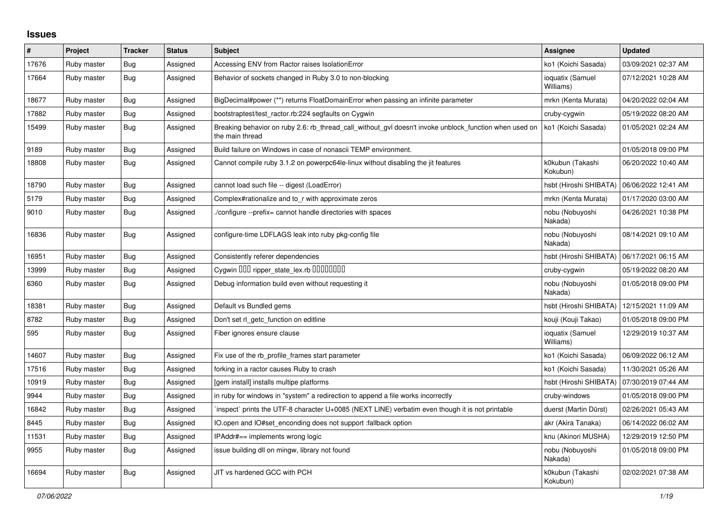## **Issues**

| $\vert$ # | Project     | <b>Tracker</b> | <b>Status</b> | <b>Subject</b>                                                                                                            | <b>Assignee</b>               | <b>Updated</b>      |
|-----------|-------------|----------------|---------------|---------------------------------------------------------------------------------------------------------------------------|-------------------------------|---------------------|
| 17676     | Ruby master | <b>Bug</b>     | Assigned      | Accessing ENV from Ractor raises IsolationError                                                                           | ko1 (Koichi Sasada)           | 03/09/2021 02:37 AM |
| 17664     | Ruby master | <b>Bug</b>     | Assigned      | Behavior of sockets changed in Ruby 3.0 to non-blocking                                                                   | ioquatix (Samuel<br>Williams) | 07/12/2021 10:28 AM |
| 18677     | Ruby master | <b>Bug</b>     | Assigned      | BigDecimal#power (**) returns FloatDomainError when passing an infinite parameter                                         | mrkn (Kenta Murata)           | 04/20/2022 02:04 AM |
| 17882     | Ruby master | Bug            | Assigned      | bootstraptest/test ractor.rb:224 segfaults on Cygwin                                                                      | cruby-cygwin                  | 05/19/2022 08:20 AM |
| 15499     | Ruby master | Bug            | Assigned      | Breaking behavior on ruby 2.6: rb thread call without gyl doesn't invoke unblock function when used on<br>the main thread | ko1 (Koichi Sasada)           | 01/05/2021 02:24 AM |
| 9189      | Ruby master | <b>Bug</b>     | Assigned      | Build failure on Windows in case of nonascii TEMP environment.                                                            |                               | 01/05/2018 09:00 PM |
| 18808     | Ruby master | <b>Bug</b>     | Assigned      | Cannot compile ruby 3.1.2 on powerpc64le-linux without disabling the jit features                                         | k0kubun (Takashi<br>Kokubun)  | 06/20/2022 10:40 AM |
| 18790     | Ruby master | Bug            | Assigned      | cannot load such file -- digest (LoadError)                                                                               | hsbt (Hiroshi SHIBATA)        | 06/06/2022 12:41 AM |
| 5179      | Ruby master | Bug            | Assigned      | Complex#rationalize and to r with approximate zeros                                                                       | mrkn (Kenta Murata)           | 01/17/2020 03:00 AM |
| 9010      | Ruby master | <b>Bug</b>     | Assigned      | /configure --prefix= cannot handle directories with spaces                                                                | nobu (Nobuyoshi<br>Nakada)    | 04/26/2021 10:38 PM |
| 16836     | Ruby master | Bug            | Assigned      | configure-time LDFLAGS leak into ruby pkg-config file                                                                     | nobu (Nobuyoshi<br>Nakada)    | 08/14/2021 09:10 AM |
| 16951     | Ruby master | Bug            | Assigned      | Consistently referer dependencies                                                                                         | hsbt (Hiroshi SHIBATA)        | 06/17/2021 06:15 AM |
| 13999     | Ruby master | Bug            | Assigned      | Cygwin DDD ripper_state_lex.rb DDDDDDD                                                                                    | cruby-cygwin                  | 05/19/2022 08:20 AM |
| 6360      | Ruby master | <b>Bug</b>     | Assigned      | Debug information build even without requesting it                                                                        | nobu (Nobuyoshi<br>Nakada)    | 01/05/2018 09:00 PM |
| 18381     | Ruby master | <b>Bug</b>     | Assigned      | Default vs Bundled gems                                                                                                   | hsbt (Hiroshi SHIBATA)        | 12/15/2021 11:09 AM |
| 8782      | Ruby master | Bug            | Assigned      | Don't set rl getc function on editline                                                                                    | kouji (Kouji Takao)           | 01/05/2018 09:00 PM |
| 595       | Ruby master | Bug            | Assigned      | Fiber ignores ensure clause                                                                                               | ioquatix (Samuel<br>Williams) | 12/29/2019 10:37 AM |
| 14607     | Ruby master | <b>Bug</b>     | Assigned      | Fix use of the rb profile frames start parameter                                                                          | ko1 (Koichi Sasada)           | 06/09/2022 06:12 AM |
| 17516     | Ruby master | <b>Bug</b>     | Assigned      | forking in a ractor causes Ruby to crash                                                                                  | ko1 (Koichi Sasada)           | 11/30/2021 05:26 AM |
| 10919     | Ruby master | <b>Bug</b>     | Assigned      | [gem install] installs multipe platforms                                                                                  | hsbt (Hiroshi SHIBATA)        | 07/30/2019 07:44 AM |
| 9944      | Ruby master | <b>Bug</b>     | Assigned      | in ruby for windows in "system" a redirection to append a file works incorrectly                                          | cruby-windows                 | 01/05/2018 09:00 PM |
| 16842     | Ruby master | <b>Bug</b>     | Assigned      | inspect` prints the UTF-8 character U+0085 (NEXT LINE) verbatim even though it is not printable                           | duerst (Martin Dürst)         | 02/26/2021 05:43 AM |
| 8445      | Ruby master | Bug            | Assigned      | IO.open and IO#set enconding does not support : fallback option                                                           | akr (Akira Tanaka)            | 06/14/2022 06:02 AM |
| 11531     | Ruby master | <b>Bug</b>     | Assigned      | IPAddr#== implements wrong logic                                                                                          | knu (Akinori MUSHA)           | 12/29/2019 12:50 PM |
| 9955      | Ruby master | Bug            | Assigned      | issue building dll on mingw, library not found                                                                            | nobu (Nobuyoshi<br>Nakada)    | 01/05/2018 09:00 PM |
| 16694     | Ruby master | <b>Bug</b>     | Assigned      | JIT vs hardened GCC with PCH                                                                                              | k0kubun (Takashi<br>Kokubun)  | 02/02/2021 07:38 AM |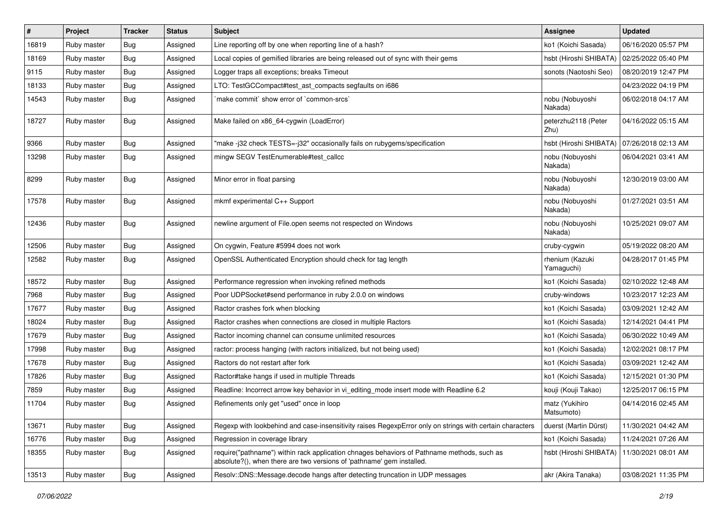| $\#$  | Project     | <b>Tracker</b> | <b>Status</b> | <b>Subject</b>                                                                                                                                                      | Assignee                      | <b>Updated</b>      |
|-------|-------------|----------------|---------------|---------------------------------------------------------------------------------------------------------------------------------------------------------------------|-------------------------------|---------------------|
| 16819 | Ruby master | <b>Bug</b>     | Assigned      | Line reporting off by one when reporting line of a hash?                                                                                                            | ko1 (Koichi Sasada)           | 06/16/2020 05:57 PM |
| 18169 | Ruby master | <b>Bug</b>     | Assigned      | Local copies of gemified libraries are being released out of sync with their gems                                                                                   | hsbt (Hiroshi SHIBATA)        | 02/25/2022 05:40 PM |
| 9115  | Ruby master | <b>Bug</b>     | Assigned      | Logger traps all exceptions; breaks Timeout                                                                                                                         | sonots (Naotoshi Seo)         | 08/20/2019 12:47 PM |
| 18133 | Ruby master | <b>Bug</b>     | Assigned      | LTO: TestGCCompact#test_ast_compacts segfaults on i686                                                                                                              |                               | 04/23/2022 04:19 PM |
| 14543 | Ruby master | <b>Bug</b>     | Assigned      | 'make commit' show error of 'common-srcs'                                                                                                                           | nobu (Nobuyoshi<br>Nakada)    | 06/02/2018 04:17 AM |
| 18727 | Ruby master | <b>Bug</b>     | Assigned      | Make failed on x86_64-cygwin (LoadError)                                                                                                                            | peterzhu2118 (Peter<br>Zhu)   | 04/16/2022 05:15 AM |
| 9366  | Ruby master | <b>Bug</b>     | Assigned      | 'make-j32 check TESTS=-j32" occasionally fails on rubygems/specification                                                                                            | hsbt (Hiroshi SHIBATA)        | 07/26/2018 02:13 AM |
| 13298 | Ruby master | Bug            | Assigned      | mingw SEGV TestEnumerable#test callcc                                                                                                                               | nobu (Nobuyoshi<br>Nakada)    | 06/04/2021 03:41 AM |
| 8299  | Ruby master | Bug            | Assigned      | Minor error in float parsing                                                                                                                                        | nobu (Nobuyoshi<br>Nakada)    | 12/30/2019 03:00 AM |
| 17578 | Ruby master | Bug            | Assigned      | mkmf experimental C++ Support                                                                                                                                       | nobu (Nobuyoshi<br>Nakada)    | 01/27/2021 03:51 AM |
| 12436 | Ruby master | <b>Bug</b>     | Assigned      | newline argument of File.open seems not respected on Windows                                                                                                        | nobu (Nobuyoshi<br>Nakada)    | 10/25/2021 09:07 AM |
| 12506 | Ruby master | Bug            | Assigned      | On cygwin, Feature #5994 does not work                                                                                                                              | cruby-cygwin                  | 05/19/2022 08:20 AM |
| 12582 | Ruby master | Bug            | Assigned      | OpenSSL Authenticated Encryption should check for tag length                                                                                                        | rhenium (Kazuki<br>Yamaguchi) | 04/28/2017 01:45 PM |
| 18572 | Ruby master | Bug            | Assigned      | Performance regression when invoking refined methods                                                                                                                | ko1 (Koichi Sasada)           | 02/10/2022 12:48 AM |
| 7968  | Ruby master | Bug            | Assigned      | Poor UDPSocket#send performance in ruby 2.0.0 on windows                                                                                                            | cruby-windows                 | 10/23/2017 12:23 AM |
| 17677 | Ruby master | <b>Bug</b>     | Assigned      | Ractor crashes fork when blocking                                                                                                                                   | ko1 (Koichi Sasada)           | 03/09/2021 12:42 AM |
| 18024 | Ruby master | <b>Bug</b>     | Assigned      | Ractor crashes when connections are closed in multiple Ractors                                                                                                      | ko1 (Koichi Sasada)           | 12/14/2021 04:41 PM |
| 17679 | Ruby master | <b>Bug</b>     | Assigned      | Ractor incoming channel can consume unlimited resources                                                                                                             | ko1 (Koichi Sasada)           | 06/30/2022 10:49 AM |
| 17998 | Ruby master | <b>Bug</b>     | Assigned      | ractor: process hanging (with ractors initialized, but not being used)                                                                                              | ko1 (Koichi Sasada)           | 12/02/2021 08:17 PM |
| 17678 | Ruby master | <b>Bug</b>     | Assigned      | Ractors do not restart after fork                                                                                                                                   | ko1 (Koichi Sasada)           | 03/09/2021 12:42 AM |
| 17826 | Ruby master | <b>Bug</b>     | Assigned      | Ractor#take hangs if used in multiple Threads                                                                                                                       | ko1 (Koichi Sasada)           | 12/15/2021 01:30 PM |
| 7859  | Ruby master | <b>Bug</b>     | Assigned      | Readline: Incorrect arrow key behavior in vi_editing_mode insert mode with Readline 6.2                                                                             | kouji (Kouji Takao)           | 12/25/2017 06:15 PM |
| 11704 | Ruby master | <b>Bug</b>     | Assigned      | Refinements only get "used" once in loop                                                                                                                            | matz (Yukihiro<br>Matsumoto)  | 04/14/2016 02:45 AM |
| 13671 | Ruby master | Bug            | Assigned      | Regexp with lookbehind and case-insensitivity raises RegexpError only on strings with certain characters                                                            | duerst (Martin Dürst)         | 11/30/2021 04:42 AM |
| 16776 | Ruby master | <b>Bug</b>     | Assigned      | Regression in coverage library                                                                                                                                      | ko1 (Koichi Sasada)           | 11/24/2021 07:26 AM |
| 18355 | Ruby master | Bug            | Assigned      | require("pathname") within rack application chnages behaviors of Pathname methods, such as<br>absolute?(), when there are two versions of 'pathname' gem installed. | hsbt (Hiroshi SHIBATA)        | 11/30/2021 08:01 AM |
| 13513 | Ruby master | <b>Bug</b>     | Assigned      | Resolv::DNS::Message.decode hangs after detecting truncation in UDP messages                                                                                        | akr (Akira Tanaka)            | 03/08/2021 11:35 PM |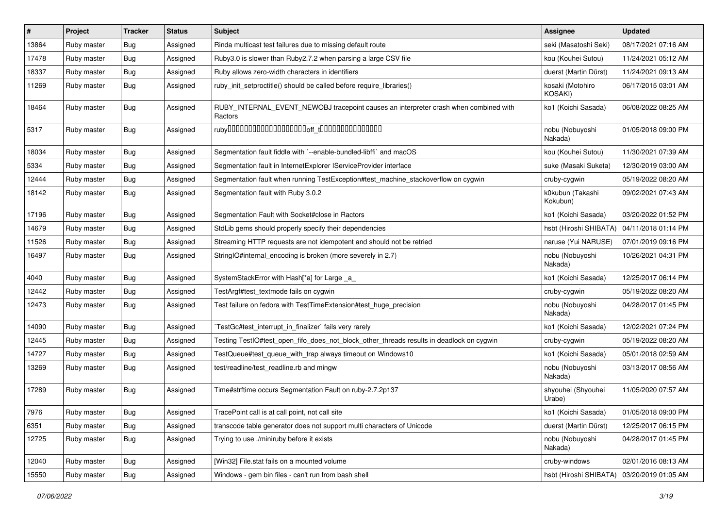| $\vert$ # | Project     | <b>Tracker</b> | <b>Status</b> | Subject                                                                                         | <b>Assignee</b>              | <b>Updated</b>      |
|-----------|-------------|----------------|---------------|-------------------------------------------------------------------------------------------------|------------------------------|---------------------|
| 13864     | Ruby master | Bug            | Assigned      | Rinda multicast test failures due to missing default route                                      | seki (Masatoshi Seki)        | 08/17/2021 07:16 AM |
| 17478     | Ruby master | Bug            | Assigned      | Ruby3.0 is slower than Ruby2.7.2 when parsing a large CSV file                                  | kou (Kouhei Sutou)           | 11/24/2021 05:12 AM |
| 18337     | Ruby master | <b>Bug</b>     | Assigned      | Ruby allows zero-width characters in identifiers                                                | duerst (Martin Dürst)        | 11/24/2021 09:13 AM |
| 11269     | Ruby master | <b>Bug</b>     | Assigned      | ruby_init_setproctitle() should be called before require_libraries()                            | kosaki (Motohiro<br>KOSAKI)  | 06/17/2015 03:01 AM |
| 18464     | Ruby master | Bug            | Assigned      | RUBY_INTERNAL_EVENT_NEWOBJ tracepoint causes an interpreter crash when combined with<br>Ractors | ko1 (Koichi Sasada)          | 06/08/2022 08:25 AM |
| 5317      | Ruby master | Bug            | Assigned      |                                                                                                 | nobu (Nobuyoshi<br>Nakada)   | 01/05/2018 09:00 PM |
| 18034     | Ruby master | Bug            | Assigned      | Segmentation fault fiddle with `--enable-bundled-libffi` and macOS                              | kou (Kouhei Sutou)           | 11/30/2021 07:39 AM |
| 5334      | Ruby master | <b>Bug</b>     | Assigned      | Segmentation fault in InternetExplorer IServiceProvider interface                               | suke (Masaki Suketa)         | 12/30/2019 03:00 AM |
| 12444     | Ruby master | <b>Bug</b>     | Assigned      | Segmentation fault when running TestException#test_machine_stackoverflow on cygwin              | cruby-cygwin                 | 05/19/2022 08:20 AM |
| 18142     | Ruby master | <b>Bug</b>     | Assigned      | Segmentation fault with Ruby 3.0.2                                                              | k0kubun (Takashi<br>Kokubun) | 09/02/2021 07:43 AM |
| 17196     | Ruby master | Bug            | Assigned      | Segmentation Fault with Socket#close in Ractors                                                 | ko1 (Koichi Sasada)          | 03/20/2022 01:52 PM |
| 14679     | Ruby master | Bug            | Assigned      | StdLib gems should properly specify their dependencies                                          | hsbt (Hiroshi SHIBATA)       | 04/11/2018 01:14 PM |
| 11526     | Ruby master | <b>Bug</b>     | Assigned      | Streaming HTTP requests are not idempotent and should not be retried                            | naruse (Yui NARUSE)          | 07/01/2019 09:16 PM |
| 16497     | Ruby master | Bug            | Assigned      | StringIO#internal_encoding is broken (more severely in 2.7)                                     | nobu (Nobuyoshi<br>Nakada)   | 10/26/2021 04:31 PM |
| 4040      | Ruby master | Bug            | Assigned      | SystemStackError with Hash[*a] for Large _a_                                                    | ko1 (Koichi Sasada)          | 12/25/2017 06:14 PM |
| 12442     | Ruby master | Bug            | Assigned      | TestArgf#test_textmode fails on cygwin                                                          | cruby-cygwin                 | 05/19/2022 08:20 AM |
| 12473     | Ruby master | Bug            | Assigned      | Test failure on fedora with TestTimeExtension#test_huge_precision                               | nobu (Nobuyoshi<br>Nakada)   | 04/28/2017 01:45 PM |
| 14090     | Ruby master | Bug            | Assigned      | TestGc#test_interrupt_in_finalizer` fails very rarely                                           | ko1 (Koichi Sasada)          | 12/02/2021 07:24 PM |
| 12445     | Ruby master | <b>Bug</b>     | Assigned      | Testing TestlO#test_open_fifo_does_not_block_other_threads results in deadlock on cygwin        | cruby-cygwin                 | 05/19/2022 08:20 AM |
| 14727     | Ruby master | <b>Bug</b>     | Assigned      | TestQueue#test_queue_with_trap always timeout on Windows10                                      | ko1 (Koichi Sasada)          | 05/01/2018 02:59 AM |
| 13269     | Ruby master | Bug            | Assigned      | test/readline/test_readline.rb and mingw                                                        | nobu (Nobuyoshi<br>Nakada)   | 03/13/2017 08:56 AM |
| 17289     | Ruby master | Bug            | Assigned      | Time#strftime occurs Segmentation Fault on ruby-2.7.2p137                                       | shyouhei (Shyouhei<br>Urabe) | 11/05/2020 07:57 AM |
| 7976      | Ruby master | <b>Bug</b>     | Assigned      | TracePoint call is at call point, not call site                                                 | ko1 (Koichi Sasada)          | 01/05/2018 09:00 PM |
| 6351      | Ruby master | Bug            | Assigned      | transcode table generator does not support multi characters of Unicode                          | duerst (Martin Dürst)        | 12/25/2017 06:15 PM |
| 12725     | Ruby master | Bug            | Assigned      | Trying to use ./miniruby before it exists                                                       | nobu (Nobuyoshi<br>Nakada)   | 04/28/2017 01:45 PM |
| 12040     | Ruby master | <b>Bug</b>     | Assigned      | [Win32] File.stat fails on a mounted volume                                                     | cruby-windows                | 02/01/2016 08:13 AM |
| 15550     | Ruby master | Bug            | Assigned      | Windows - gem bin files - can't run from bash shell                                             | hsbt (Hiroshi SHIBATA)       | 03/20/2019 01:05 AM |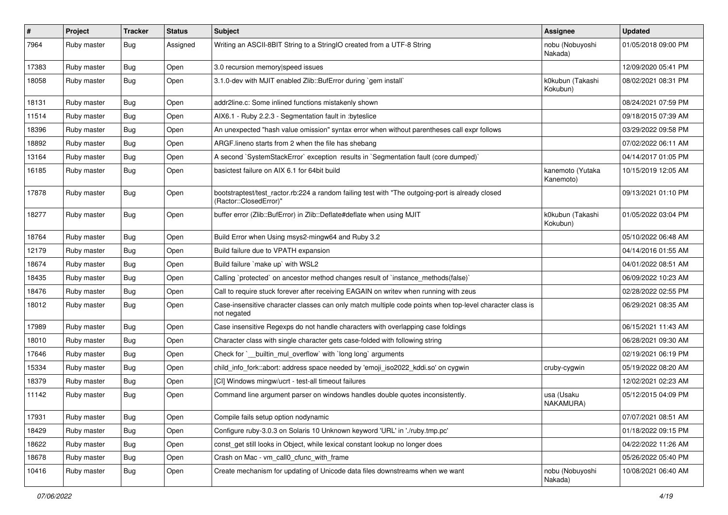| #     | Project     | <b>Tracker</b> | <b>Status</b> | Subject                                                                                                                    | <b>Assignee</b>               | <b>Updated</b>      |
|-------|-------------|----------------|---------------|----------------------------------------------------------------------------------------------------------------------------|-------------------------------|---------------------|
| 7964  | Ruby master | <b>Bug</b>     | Assigned      | Writing an ASCII-8BIT String to a StringIO created from a UTF-8 String                                                     | nobu (Nobuyoshi<br>Nakada)    | 01/05/2018 09:00 PM |
| 17383 | Ruby master | <b>Bug</b>     | Open          | 3.0 recursion memory speed issues                                                                                          |                               | 12/09/2020 05:41 PM |
| 18058 | Ruby master | <b>Bug</b>     | Open          | 3.1.0-dev with MJIT enabled Zlib::BufError during `gem install`                                                            | k0kubun (Takashi<br>Kokubun)  | 08/02/2021 08:31 PM |
| 18131 | Ruby master | <b>Bug</b>     | Open          | addr2line.c: Some inlined functions mistakenly shown                                                                       |                               | 08/24/2021 07:59 PM |
| 11514 | Ruby master | <b>Bug</b>     | Open          | AIX6.1 - Ruby 2.2.3 - Segmentation fault in :byteslice                                                                     |                               | 09/18/2015 07:39 AM |
| 18396 | Ruby master | <b>Bug</b>     | Open          | An unexpected "hash value omission" syntax error when without parentheses call expr follows                                |                               | 03/29/2022 09:58 PM |
| 18892 | Ruby master | <b>Bug</b>     | Open          | ARGF.lineno starts from 2 when the file has shebang                                                                        |                               | 07/02/2022 06:11 AM |
| 13164 | Ruby master | <b>Bug</b>     | Open          | A second `SystemStackError` exception results in `Segmentation fault (core dumped)`                                        |                               | 04/14/2017 01:05 PM |
| 16185 | Ruby master | <b>Bug</b>     | Open          | basictest failure on AIX 6.1 for 64bit build                                                                               | kanemoto (Yutaka<br>Kanemoto) | 10/15/2019 12:05 AM |
| 17878 | Ruby master | <b>Bug</b>     | Open          | bootstraptest/test_ractor.rb:224 a random failing test with "The outgoing-port is already closed<br>(Ractor::ClosedError)" |                               | 09/13/2021 01:10 PM |
| 18277 | Ruby master | <b>Bug</b>     | Open          | buffer error (Zlib::BufError) in Zlib::Deflate#deflate when using MJIT                                                     | k0kubun (Takashi<br>Kokubun)  | 01/05/2022 03:04 PM |
| 18764 | Ruby master | <b>Bug</b>     | Open          | Build Error when Using msys2-mingw64 and Ruby 3.2                                                                          |                               | 05/10/2022 06:48 AM |
| 12179 | Ruby master | <b>Bug</b>     | Open          | Build failure due to VPATH expansion                                                                                       |                               | 04/14/2016 01:55 AM |
| 18674 | Ruby master | <b>Bug</b>     | Open          | Build failure `make up` with WSL2                                                                                          |                               | 04/01/2022 08:51 AM |
| 18435 | Ruby master | <b>Bug</b>     | Open          | Calling `protected` on ancestor method changes result of `instance_methods(false)`                                         |                               | 06/09/2022 10:23 AM |
| 18476 | Ruby master | <b>Bug</b>     | Open          | Call to require stuck forever after receiving EAGAIN on writev when running with zeus                                      |                               | 02/28/2022 02:55 PM |
| 18012 | Ruby master | <b>Bug</b>     | Open          | Case-insensitive character classes can only match multiple code points when top-level character class is<br>not negated    |                               | 06/29/2021 08:35 AM |
| 17989 | Ruby master | <b>Bug</b>     | Open          | Case insensitive Regexps do not handle characters with overlapping case foldings                                           |                               | 06/15/2021 11:43 AM |
| 18010 | Ruby master | <b>Bug</b>     | Open          | Character class with single character gets case-folded with following string                                               |                               | 06/28/2021 09:30 AM |
| 17646 | Ruby master | <b>Bug</b>     | Open          | Check for `__builtin_mul_overflow` with `long long` arguments                                                              |                               | 02/19/2021 06:19 PM |
| 15334 | Ruby master | <b>Bug</b>     | Open          | child_info_fork::abort: address space needed by 'emoji_iso2022_kddi.so' on cygwin                                          | cruby-cygwin                  | 05/19/2022 08:20 AM |
| 18379 | Ruby master | <b>Bug</b>     | Open          | [CI] Windows mingw/ucrt - test-all timeout failures                                                                        |                               | 12/02/2021 02:23 AM |
| 11142 | Ruby master | <b>Bug</b>     | Open          | Command line argument parser on windows handles double quotes inconsistently.                                              | usa (Usaku<br>NAKAMURA)       | 05/12/2015 04:09 PM |
| 17931 | Ruby master | Bug            | Open          | Compile fails setup option nodynamic                                                                                       |                               | 07/07/2021 08:51 AM |
| 18429 | Ruby master | <b>Bug</b>     | Open          | Configure ruby-3.0.3 on Solaris 10 Unknown keyword 'URL' in './ruby.tmp.pc'                                                |                               | 01/18/2022 09:15 PM |
| 18622 | Ruby master | <b>Bug</b>     | Open          | const_get still looks in Object, while lexical constant lookup no longer does                                              |                               | 04/22/2022 11:26 AM |
| 18678 | Ruby master | <b>Bug</b>     | Open          | Crash on Mac - vm_call0_cfunc_with_frame                                                                                   |                               | 05/26/2022 05:40 PM |
| 10416 | Ruby master | <b>Bug</b>     | Open          | Create mechanism for updating of Unicode data files downstreams when we want                                               | nobu (Nobuyoshi<br>Nakada)    | 10/08/2021 06:40 AM |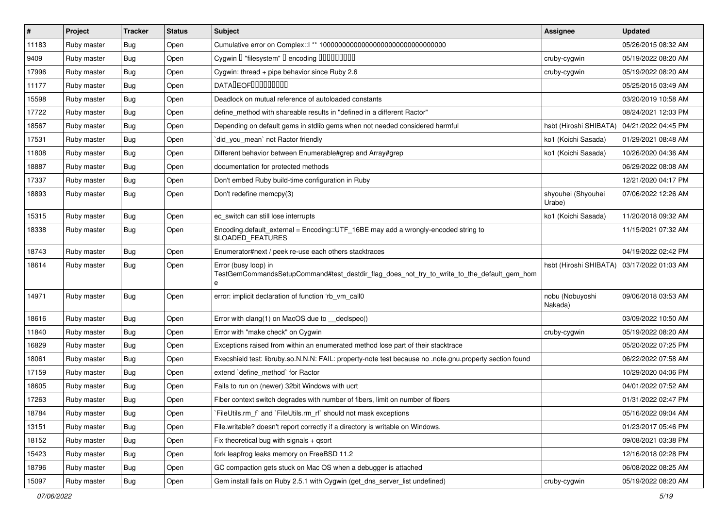| $\vert$ # | Project     | <b>Tracker</b> | <b>Status</b> | Subject                                                                                                                 | Assignee                     | <b>Updated</b>      |
|-----------|-------------|----------------|---------------|-------------------------------------------------------------------------------------------------------------------------|------------------------------|---------------------|
| 11183     | Ruby master | Bug            | Open          |                                                                                                                         |                              | 05/26/2015 08:32 AM |
| 9409      | Ruby master | Bug            | Open          | Cygwin I "filesystem" I encoding IIIIIIIIIIII                                                                           | cruby-cygwin                 | 05/19/2022 08:20 AM |
| 17996     | Ruby master | Bug            | Open          | Cygwin: thread + pipe behavior since Ruby 2.6                                                                           | cruby-cygwin                 | 05/19/2022 08:20 AM |
| 11177     | Ruby master | <b>Bug</b>     | Open          | DATADEOF00000000                                                                                                        |                              | 05/25/2015 03:49 AM |
| 15598     | Ruby master | Bug            | Open          | Deadlock on mutual reference of autoloaded constants                                                                    |                              | 03/20/2019 10:58 AM |
| 17722     | Ruby master | Bug            | Open          | define method with shareable results in "defined in a different Ractor"                                                 |                              | 08/24/2021 12:03 PM |
| 18567     | Ruby master | Bug            | Open          | Depending on default gems in stdlib gems when not needed considered harmful                                             | hsbt (Hiroshi SHIBATA)       | 04/21/2022 04:45 PM |
| 17531     | Ruby master | Bug            | Open          | did_you_mean` not Ractor friendly                                                                                       | ko1 (Koichi Sasada)          | 01/29/2021 08:48 AM |
| 11808     | Ruby master | Bug            | Open          | Different behavior between Enumerable#grep and Array#grep                                                               | ko1 (Koichi Sasada)          | 10/26/2020 04:36 AM |
| 18887     | Ruby master | Bug            | Open          | documentation for protected methods                                                                                     |                              | 06/29/2022 08:08 AM |
| 17337     | Ruby master | Bug            | Open          | Don't embed Ruby build-time configuration in Ruby                                                                       |                              | 12/21/2020 04:17 PM |
| 18893     | Ruby master | <b>Bug</b>     | Open          | Don't redefine memcpy(3)                                                                                                | shyouhei (Shyouhei<br>Urabe) | 07/06/2022 12:26 AM |
| 15315     | Ruby master | Bug            | Open          | ec switch can still lose interrupts                                                                                     | ko1 (Koichi Sasada)          | 11/20/2018 09:32 AM |
| 18338     | Ruby master | Bug            | Open          | Encoding.default_external = Encoding::UTF_16BE may add a wrongly-encoded string to<br>\$LOADED_FEATURES                 |                              | 11/15/2021 07:32 AM |
| 18743     | Ruby master | Bug            | Open          | Enumerator#next / peek re-use each others stacktraces                                                                   |                              | 04/19/2022 02:42 PM |
| 18614     | Ruby master | Bug            | Open          | Error (busy loop) in<br>TestGemCommandsSetupCommand#test_destdir_flag_does_not_try_to_write_to_the_default_gem_hom<br>e | hsbt (Hiroshi SHIBATA)       | 03/17/2022 01:03 AM |
| 14971     | Ruby master | Bug            | Open          | error: implicit declaration of function 'rb_vm_call0                                                                    | nobu (Nobuyoshi<br>Nakada)   | 09/06/2018 03:53 AM |
| 18616     | Ruby master | Bug            | Open          | Error with clang(1) on MacOS due to __declspec()                                                                        |                              | 03/09/2022 10:50 AM |
| 11840     | Ruby master | <b>Bug</b>     | Open          | Error with "make check" on Cygwin                                                                                       | cruby-cygwin                 | 05/19/2022 08:20 AM |
| 16829     | Ruby master | Bug            | Open          | Exceptions raised from within an enumerated method lose part of their stacktrace                                        |                              | 05/20/2022 07:25 PM |
| 18061     | Ruby master | Bug            | Open          | Execshield test: libruby.so.N.N.N: FAIL: property-note test because no .note.gnu.property section found                 |                              | 06/22/2022 07:58 AM |
| 17159     | Ruby master | Bug            | Open          | extend `define_method` for Ractor                                                                                       |                              | 10/29/2020 04:06 PM |
| 18605     | Ruby master | <b>Bug</b>     | Open          | Fails to run on (newer) 32bit Windows with ucrt                                                                         |                              | 04/01/2022 07:52 AM |
| 17263     | Ruby master | Bug            | Open          | Fiber context switch degrades with number of fibers, limit on number of fibers                                          |                              | 01/31/2022 02:47 PM |
| 18784     | Ruby master | Bug            | Open          | FileUtils.rm f and FileUtils.rm rf should not mask exceptions                                                           |                              | 05/16/2022 09:04 AM |
| 13151     | Ruby master | <b>Bug</b>     | Open          | File.writable? doesn't report correctly if a directory is writable on Windows.                                          |                              | 01/23/2017 05:46 PM |
| 18152     | Ruby master | <b>Bug</b>     | Open          | Fix theoretical bug with signals $+$ qsort                                                                              |                              | 09/08/2021 03:38 PM |
| 15423     | Ruby master | Bug            | Open          | fork leapfrog leaks memory on FreeBSD 11.2                                                                              |                              | 12/16/2018 02:28 PM |
| 18796     | Ruby master | <b>Bug</b>     | Open          | GC compaction gets stuck on Mac OS when a debugger is attached                                                          |                              | 06/08/2022 08:25 AM |
| 15097     | Ruby master | <b>Bug</b>     | Open          | Gem install fails on Ruby 2.5.1 with Cygwin (get_dns_server_list undefined)                                             | cruby-cygwin                 | 05/19/2022 08:20 AM |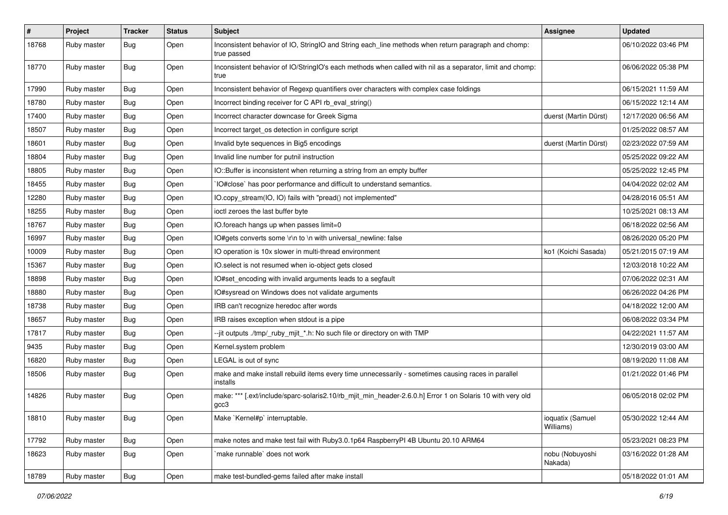| #     | Project     | <b>Tracker</b> | <b>Status</b> | <b>Subject</b>                                                                                                     | <b>Assignee</b>               | <b>Updated</b>      |
|-------|-------------|----------------|---------------|--------------------------------------------------------------------------------------------------------------------|-------------------------------|---------------------|
| 18768 | Ruby master | Bug            | Open          | Inconsistent behavior of IO, StringIO and String each_line methods when return paragraph and chomp:<br>true passed |                               | 06/10/2022 03:46 PM |
| 18770 | Ruby master | Bug            | Open          | Inconsistent behavior of IO/StringIO's each methods when called with nil as a separator, limit and chomp:<br>true  |                               | 06/06/2022 05:38 PM |
| 17990 | Ruby master | Bug            | Open          | Inconsistent behavior of Regexp quantifiers over characters with complex case foldings                             |                               | 06/15/2021 11:59 AM |
| 18780 | Ruby master | <b>Bug</b>     | Open          | Incorrect binding receiver for C API rb_eval_string()                                                              |                               | 06/15/2022 12:14 AM |
| 17400 | Ruby master | <b>Bug</b>     | Open          | Incorrect character downcase for Greek Sigma                                                                       | duerst (Martin Dürst)         | 12/17/2020 06:56 AM |
| 18507 | Ruby master | <b>Bug</b>     | Open          | Incorrect target_os detection in configure script                                                                  |                               | 01/25/2022 08:57 AM |
| 18601 | Ruby master | <b>Bug</b>     | Open          | Invalid byte sequences in Big5 encodings                                                                           | duerst (Martin Dürst)         | 02/23/2022 07:59 AM |
| 18804 | Ruby master | <b>Bug</b>     | Open          | Invalid line number for putnil instruction                                                                         |                               | 05/25/2022 09:22 AM |
| 18805 | Ruby master | <b>Bug</b>     | Open          | IO::Buffer is inconsistent when returning a string from an empty buffer                                            |                               | 05/25/2022 12:45 PM |
| 18455 | Ruby master | <b>Bug</b>     | Open          | IO#close` has poor performance and difficult to understand semantics.                                              |                               | 04/04/2022 02:02 AM |
| 12280 | Ruby master | Bug            | Open          | IO.copy_stream(IO, IO) fails with "pread() not implemented"                                                        |                               | 04/28/2016 05:51 AM |
| 18255 | Ruby master | Bug            | Open          | ioctl zeroes the last buffer byte                                                                                  |                               | 10/25/2021 08:13 AM |
| 18767 | Ruby master | Bug            | Open          | IO.foreach hangs up when passes limit=0                                                                            |                               | 06/18/2022 02:56 AM |
| 16997 | Ruby master | Bug            | Open          | IO#gets converts some \r\n to \n with universal_newline: false                                                     |                               | 08/26/2020 05:20 PM |
| 10009 | Ruby master | <b>Bug</b>     | Open          | IO operation is 10x slower in multi-thread environment                                                             | ko1 (Koichi Sasada)           | 05/21/2015 07:19 AM |
| 15367 | Ruby master | Bug            | Open          | IO.select is not resumed when io-object gets closed                                                                |                               | 12/03/2018 10:22 AM |
| 18898 | Ruby master | <b>Bug</b>     | Open          | IO#set_encoding with invalid arguments leads to a segfault                                                         |                               | 07/06/2022 02:31 AM |
| 18880 | Ruby master | Bug            | Open          | IO#sysread on Windows does not validate arguments                                                                  |                               | 06/26/2022 04:26 PM |
| 18738 | Ruby master | <b>Bug</b>     | Open          | IRB can't recognize heredoc after words                                                                            |                               | 04/18/2022 12:00 AM |
| 18657 | Ruby master | <b>Bug</b>     | Open          | IRB raises exception when stdout is a pipe                                                                         |                               | 06/08/2022 03:34 PM |
| 17817 | Ruby master | <b>Bug</b>     | Open          | --jit outputs ./tmp/_ruby_mjit_*.h: No such file or directory on with TMP                                          |                               | 04/22/2021 11:57 AM |
| 9435  | Ruby master | <b>Bug</b>     | Open          | Kernel.system problem                                                                                              |                               | 12/30/2019 03:00 AM |
| 16820 | Ruby master | <b>Bug</b>     | Open          | LEGAL is out of sync                                                                                               |                               | 08/19/2020 11:08 AM |
| 18506 | Ruby master | Bug            | Open          | make and make install rebuild items every time unnecessarily - sometimes causing races in parallel<br>installs     |                               | 01/21/2022 01:46 PM |
| 14826 | Ruby master | <b>Bug</b>     | Open          | make: *** [.ext/include/sparc-solaris2.10/rb_mjit_min_header-2.6.0.h] Error 1 on Solaris 10 with very old<br>gcc3  |                               | 06/05/2018 02:02 PM |
| 18810 | Ruby master | <b>Bug</b>     | Open          | Make `Kernel#p` interruptable.                                                                                     | ioquatix (Samuel<br>Williams) | 05/30/2022 12:44 AM |
| 17792 | Ruby master | <b>Bug</b>     | Open          | make notes and make test fail with Ruby3.0.1p64 RaspberryPI 4B Ubuntu 20.10 ARM64                                  |                               | 05/23/2021 08:23 PM |
| 18623 | Ruby master | <b>Bug</b>     | Open          | make runnable` does not work                                                                                       | nobu (Nobuyoshi<br>Nakada)    | 03/16/2022 01:28 AM |
| 18789 | Ruby master | <b>Bug</b>     | Open          | make test-bundled-gems failed after make install                                                                   |                               | 05/18/2022 01:01 AM |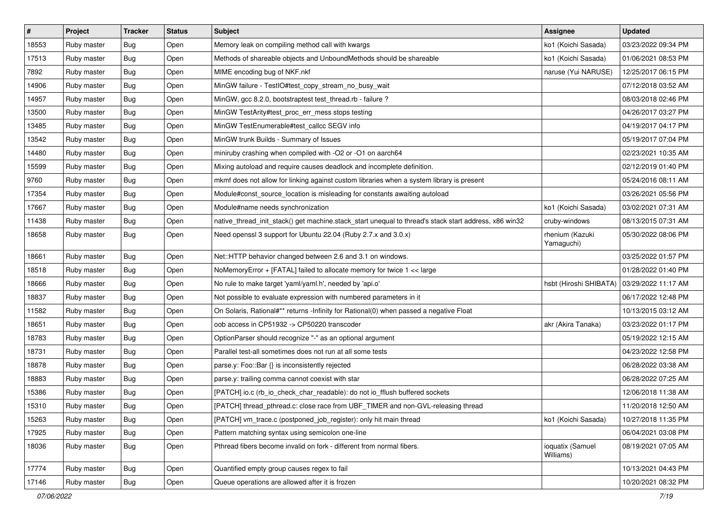| $\sharp$ | Project     | <b>Tracker</b> | <b>Status</b> | Subject                                                                                               | <b>Assignee</b>               | <b>Updated</b>      |
|----------|-------------|----------------|---------------|-------------------------------------------------------------------------------------------------------|-------------------------------|---------------------|
| 18553    | Ruby master | <b>Bug</b>     | Open          | Memory leak on compiling method call with kwargs                                                      | ko1 (Koichi Sasada)           | 03/23/2022 09:34 PM |
| 17513    | Ruby master | <b>Bug</b>     | Open          | Methods of shareable objects and UnboundMethods should be shareable                                   | ko1 (Koichi Sasada)           | 01/06/2021 08:53 PM |
| 7892     | Ruby master | <b>Bug</b>     | Open          | MIME encoding bug of NKF.nkf                                                                          | naruse (Yui NARUSE)           | 12/25/2017 06:15 PM |
| 14906    | Ruby master | <b>Bug</b>     | Open          | MinGW failure - TestIO#test_copy_stream_no_busy_wait                                                  |                               | 07/12/2018 03:52 AM |
| 14957    | Ruby master | Bug            | Open          | MinGW, gcc 8.2.0, bootstraptest test_thread.rb - failure ?                                            |                               | 08/03/2018 02:46 PM |
| 13500    | Ruby master | <b>Bug</b>     | Open          | MinGW TestArity#test proc err mess stops testing                                                      |                               | 04/26/2017 03:27 PM |
| 13485    | Ruby master | <b>Bug</b>     | Open          | MinGW TestEnumerable#test callcc SEGV info                                                            |                               | 04/19/2017 04:17 PM |
| 13542    | Ruby master | Bug            | Open          | MinGW trunk Builds - Summary of Issues                                                                |                               | 05/19/2017 07:04 PM |
| 14480    | Ruby master | <b>Bug</b>     | Open          | miniruby crashing when compiled with -O2 or -O1 on aarch64                                            |                               | 02/23/2021 10:35 AM |
| 15599    | Ruby master | Bug            | Open          | Mixing autoload and require causes deadlock and incomplete definition.                                |                               | 02/12/2019 01:40 PM |
| 9760     | Ruby master | <b>Bug</b>     | Open          | mkmf does not allow for linking against custom libraries when a system library is present             |                               | 05/24/2016 08:11 AM |
| 17354    | Ruby master | <b>Bug</b>     | Open          | Module#const_source_location is misleading for constants awaiting autoload                            |                               | 03/26/2021 05:56 PM |
| 17667    | Ruby master | Bug            | Open          | Module#name needs synchronization                                                                     | ko1 (Koichi Sasada)           | 03/02/2021 07:31 AM |
| 11438    | Ruby master | <b>Bug</b>     | Open          | native_thread_init_stack() get machine.stack_start unequal to thread's stack start address, x86 win32 | cruby-windows                 | 08/13/2015 07:31 AM |
| 18658    | Ruby master | <b>Bug</b>     | Open          | Need openssl 3 support for Ubuntu 22.04 (Ruby 2.7.x and 3.0.x)                                        | rhenium (Kazuki<br>Yamaguchi) | 05/30/2022 08:06 PM |
| 18661    | Ruby master | Bug            | Open          | Net::HTTP behavior changed between 2.6 and 3.1 on windows.                                            |                               | 03/25/2022 01:57 PM |
| 18518    | Ruby master | Bug            | Open          | NoMemoryError + [FATAL] failed to allocate memory for twice 1 << large                                |                               | 01/28/2022 01:40 PM |
| 18666    | Ruby master | <b>Bug</b>     | Open          | No rule to make target 'yaml/yaml.h', needed by 'api.o'                                               | hsbt (Hiroshi SHIBATA)        | 03/29/2022 11:17 AM |
| 18837    | Ruby master | <b>Bug</b>     | Open          | Not possible to evaluate expression with numbered parameters in it                                    |                               | 06/17/2022 12:48 PM |
| 11582    | Ruby master | Bug            | Open          | On Solaris, Rational#** returns -Infinity for Rational(0) when passed a negative Float                |                               | 10/13/2015 03:12 AM |
| 18651    | Ruby master | <b>Bug</b>     | Open          | oob access in CP51932 -> CP50220 transcoder                                                           | akr (Akira Tanaka)            | 03/23/2022 01:17 PM |
| 18783    | Ruby master | Bug            | Open          | OptionParser should recognize "-" as an optional argument                                             |                               | 05/19/2022 12:15 AM |
| 18731    | Ruby master | <b>Bug</b>     | Open          | Parallel test-all sometimes does not run at all some tests                                            |                               | 04/23/2022 12:58 PM |
| 18878    | Ruby master | <b>Bug</b>     | Open          | parse.y: Foo::Bar {} is inconsistently rejected                                                       |                               | 06/28/2022 03:38 AM |
| 18883    | Ruby master | Bug            | Open          | parse.y: trailing comma cannot coexist with star                                                      |                               | 06/28/2022 07:25 AM |
| 15386    | Ruby master | <b>Bug</b>     | Open          | [PATCH] io.c (rb_io_check_char_readable): do not io_fflush buffered sockets                           |                               | 12/06/2018 11:38 AM |
| 15310    | Ruby master | <b>Bug</b>     | Open          | [PATCH] thread_pthread.c: close race from UBF_TIMER and non-GVL-releasing thread                      |                               | 11/20/2018 12:50 AM |
| 15263    | Ruby master | Bug            | Open          | [PATCH] vm_trace.c (postponed_job_register): only hit main thread                                     | ko1 (Koichi Sasada)           | 10/27/2018 11:35 PM |
| 17925    | Ruby master | <b>Bug</b>     | Open          | Pattern matching syntax using semicolon one-line                                                      |                               | 06/04/2021 03:08 PM |
| 18036    | Ruby master | <b>Bug</b>     | Open          | Pthread fibers become invalid on fork - different from normal fibers.                                 | ioquatix (Samuel<br>Williams) | 08/19/2021 07:05 AM |
| 17774    | Ruby master | <b>Bug</b>     | Open          | Quantified empty group causes regex to fail                                                           |                               | 10/13/2021 04:43 PM |
| 17146    | Ruby master | Bug            | Open          | Queue operations are allowed after it is frozen                                                       |                               | 10/20/2021 08:32 PM |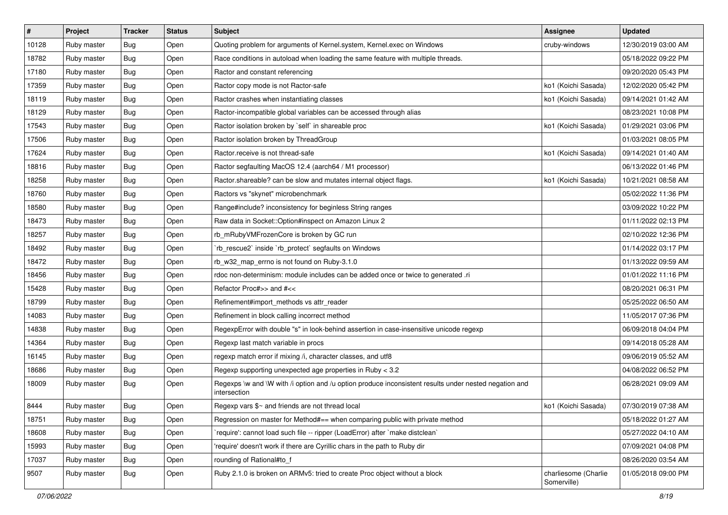| $\vert$ # | Project     | <b>Tracker</b> | <b>Status</b> | <b>Subject</b>                                                                                                        | Assignee                            | <b>Updated</b>      |
|-----------|-------------|----------------|---------------|-----------------------------------------------------------------------------------------------------------------------|-------------------------------------|---------------------|
| 10128     | Ruby master | <b>Bug</b>     | Open          | Quoting problem for arguments of Kernel.system, Kernel.exec on Windows                                                | cruby-windows                       | 12/30/2019 03:00 AM |
| 18782     | Ruby master | <b>Bug</b>     | Open          | Race conditions in autoload when loading the same feature with multiple threads.                                      |                                     | 05/18/2022 09:22 PM |
| 17180     | Ruby master | Bug            | Open          | Ractor and constant referencing                                                                                       |                                     | 09/20/2020 05:43 PM |
| 17359     | Ruby master | <b>Bug</b>     | Open          | Ractor copy mode is not Ractor-safe                                                                                   | ko1 (Koichi Sasada)                 | 12/02/2020 05:42 PM |
| 18119     | Ruby master | Bug            | Open          | Ractor crashes when instantiating classes                                                                             | ko1 (Koichi Sasada)                 | 09/14/2021 01:42 AM |
| 18129     | Ruby master | <b>Bug</b>     | Open          | Ractor-incompatible global variables can be accessed through alias                                                    |                                     | 08/23/2021 10:08 PM |
| 17543     | Ruby master | <b>Bug</b>     | Open          | Ractor isolation broken by `self` in shareable proc                                                                   | ko1 (Koichi Sasada)                 | 01/29/2021 03:06 PM |
| 17506     | Ruby master | Bug            | Open          | Ractor isolation broken by ThreadGroup                                                                                |                                     | 01/03/2021 08:05 PM |
| 17624     | Ruby master | <b>Bug</b>     | Open          | Ractor.receive is not thread-safe                                                                                     | ko1 (Koichi Sasada)                 | 09/14/2021 01:40 AM |
| 18816     | Ruby master | Bug            | Open          | Ractor segfaulting MacOS 12.4 (aarch64 / M1 processor)                                                                |                                     | 06/13/2022 01:46 PM |
| 18258     | Ruby master | Bug            | Open          | Ractor shareable? can be slow and mutates internal object flags.                                                      | ko1 (Koichi Sasada)                 | 10/21/2021 08:58 AM |
| 18760     | Ruby master | <b>Bug</b>     | Open          | Ractors vs "skynet" microbenchmark                                                                                    |                                     | 05/02/2022 11:36 PM |
| 18580     | Ruby master | Bug            | Open          | Range#include? inconsistency for beginless String ranges                                                              |                                     | 03/09/2022 10:22 PM |
| 18473     | Ruby master | Bug            | Open          | Raw data in Socket::Option#inspect on Amazon Linux 2                                                                  |                                     | 01/11/2022 02:13 PM |
| 18257     | Ruby master | Bug            | Open          | rb_mRubyVMFrozenCore is broken by GC run                                                                              |                                     | 02/10/2022 12:36 PM |
| 18492     | Ruby master | <b>Bug</b>     | Open          | 'rb_rescue2' inside 'rb_protect' segfaults on Windows                                                                 |                                     | 01/14/2022 03:17 PM |
| 18472     | Ruby master | <b>Bug</b>     | Open          | rb_w32_map_errno is not found on Ruby-3.1.0                                                                           |                                     | 01/13/2022 09:59 AM |
| 18456     | Ruby master | Bug            | Open          | rdoc non-determinism: module includes can be added once or twice to generated .ri                                     |                                     | 01/01/2022 11:16 PM |
| 15428     | Ruby master | <b>Bug</b>     | Open          | Refactor Proc#>> and #<<                                                                                              |                                     | 08/20/2021 06:31 PM |
| 18799     | Ruby master | Bug            | Open          | Refinement#import_methods vs attr_reader                                                                              |                                     | 05/25/2022 06:50 AM |
| 14083     | Ruby master | Bug            | Open          | Refinement in block calling incorrect method                                                                          |                                     | 11/05/2017 07:36 PM |
| 14838     | Ruby master | <b>Bug</b>     | Open          | RegexpError with double "s" in look-behind assertion in case-insensitive unicode regexp                               |                                     | 06/09/2018 04:04 PM |
| 14364     | Ruby master | Bug            | Open          | Regexp last match variable in procs                                                                                   |                                     | 09/14/2018 05:28 AM |
| 16145     | Ruby master | <b>Bug</b>     | Open          | regexp match error if mixing /i, character classes, and utf8                                                          |                                     | 09/06/2019 05:52 AM |
| 18686     | Ruby master | <b>Bug</b>     | Open          | Regexp supporting unexpected age properties in Ruby < 3.2                                                             |                                     | 04/08/2022 06:52 PM |
| 18009     | Ruby master | Bug            | Open          | Regexps \w and \W with /i option and /u option produce inconsistent results under nested negation and<br>intersection |                                     | 06/28/2021 09:09 AM |
| 8444      | Ruby master | <b>Bug</b>     | Open          | Regexp vars $\gamma$ and friends are not thread local                                                                 | ko1 (Koichi Sasada)                 | 07/30/2019 07:38 AM |
| 18751     | Ruby master | <b>Bug</b>     | Open          | Regression on master for Method#== when comparing public with private method                                          |                                     | 05/18/2022 01:27 AM |
| 18608     | Ruby master | <b>Bug</b>     | Open          | 'require': cannot load such file -- ripper (LoadError) after 'make distclean'                                         |                                     | 05/27/2022 04:10 AM |
| 15993     | Ruby master | <b>Bug</b>     | Open          | 'require' doesn't work if there are Cyrillic chars in the path to Ruby dir                                            |                                     | 07/09/2021 04:08 PM |
| 17037     | Ruby master | <b>Bug</b>     | Open          | rounding of Rational#to_f                                                                                             |                                     | 08/26/2020 03:54 AM |
| 9507      | Ruby master | <b>Bug</b>     | Open          | Ruby 2.1.0 is broken on ARMv5: tried to create Proc object without a block                                            | charliesome (Charlie<br>Somerville) | 01/05/2018 09:00 PM |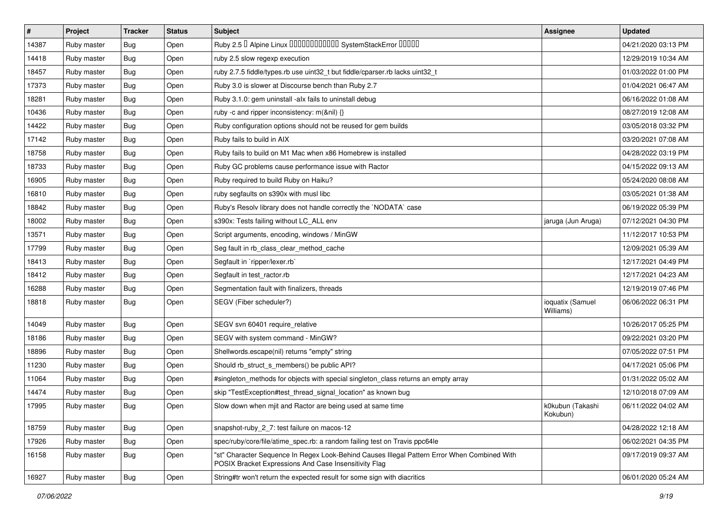| $\vert$ # | Project     | <b>Tracker</b> | <b>Status</b> | Subject                                                                                                                                               | <b>Assignee</b>               | <b>Updated</b>      |
|-----------|-------------|----------------|---------------|-------------------------------------------------------------------------------------------------------------------------------------------------------|-------------------------------|---------------------|
| 14387     | Ruby master | Bug            | Open          | Ruby 2.5 <sup>D</sup> Alpine Linux 000000000000 SystemStackError 00000                                                                                |                               | 04/21/2020 03:13 PM |
| 14418     | Ruby master | Bug            | Open          | ruby 2.5 slow regexp execution                                                                                                                        |                               | 12/29/2019 10:34 AM |
| 18457     | Ruby master | Bug            | Open          | ruby 2.7.5 fiddle/types.rb use uint32_t but fiddle/cparser.rb lacks uint32_t                                                                          |                               | 01/03/2022 01:00 PM |
| 17373     | Ruby master | Bug            | Open          | Ruby 3.0 is slower at Discourse bench than Ruby 2.7                                                                                                   |                               | 01/04/2021 06:47 AM |
| 18281     | Ruby master | <b>Bug</b>     | Open          | Ruby 3.1.0: gem uninstall -alx fails to uninstall debug                                                                                               |                               | 06/16/2022 01:08 AM |
| 10436     | Ruby master | Bug            | Open          | ruby -c and ripper inconsistency: m(&nil) {}                                                                                                          |                               | 08/27/2019 12:08 AM |
| 14422     | Ruby master | Bug            | Open          | Ruby configuration options should not be reused for gem builds                                                                                        |                               | 03/05/2018 03:32 PM |
| 17142     | Ruby master | Bug            | Open          | Ruby fails to build in AIX                                                                                                                            |                               | 03/20/2021 07:08 AM |
| 18758     | Ruby master | Bug            | Open          | Ruby fails to build on M1 Mac when x86 Homebrew is installed                                                                                          |                               | 04/28/2022 03:19 PM |
| 18733     | Ruby master | <b>Bug</b>     | Open          | Ruby GC problems cause performance issue with Ractor                                                                                                  |                               | 04/15/2022 09:13 AM |
| 16905     | Ruby master | Bug            | Open          | Ruby required to build Ruby on Haiku?                                                                                                                 |                               | 05/24/2020 08:08 AM |
| 16810     | Ruby master | Bug            | Open          | ruby segfaults on s390x with musl libc                                                                                                                |                               | 03/05/2021 01:38 AM |
| 18842     | Ruby master | <b>Bug</b>     | Open          | Ruby's Resolv library does not handle correctly the `NODATA` case                                                                                     |                               | 06/19/2022 05:39 PM |
| 18002     | Ruby master | <b>Bug</b>     | Open          | s390x: Tests failing without LC_ALL env                                                                                                               | jaruga (Jun Aruga)            | 07/12/2021 04:30 PM |
| 13571     | Ruby master | Bug            | Open          | Script arguments, encoding, windows / MinGW                                                                                                           |                               | 11/12/2017 10:53 PM |
| 17799     | Ruby master | Bug            | Open          | Seg fault in rb_class_clear_method_cache                                                                                                              |                               | 12/09/2021 05:39 AM |
| 18413     | Ruby master | <b>Bug</b>     | Open          | Segfault in `ripper/lexer.rb`                                                                                                                         |                               | 12/17/2021 04:49 PM |
| 18412     | Ruby master | <b>Bug</b>     | Open          | Segfault in test_ractor.rb                                                                                                                            |                               | 12/17/2021 04:23 AM |
| 16288     | Ruby master | Bug            | Open          | Segmentation fault with finalizers, threads                                                                                                           |                               | 12/19/2019 07:46 PM |
| 18818     | Ruby master | Bug            | Open          | SEGV (Fiber scheduler?)                                                                                                                               | ioquatix (Samuel<br>Williams) | 06/06/2022 06:31 PM |
| 14049     | Ruby master | Bug            | Open          | SEGV svn 60401 require_relative                                                                                                                       |                               | 10/26/2017 05:25 PM |
| 18186     | Ruby master | <b>Bug</b>     | Open          | SEGV with system command - MinGW?                                                                                                                     |                               | 09/22/2021 03:20 PM |
| 18896     | Ruby master | Bug            | Open          | Shellwords.escape(nil) returns "empty" string                                                                                                         |                               | 07/05/2022 07:51 PM |
| 11230     | Ruby master | <b>Bug</b>     | Open          | Should rb_struct_s_members() be public API?                                                                                                           |                               | 04/17/2021 05:06 PM |
| 11064     | Ruby master | <b>Bug</b>     | Open          | #singleton_methods for objects with special singleton_class returns an empty array                                                                    |                               | 01/31/2022 05:02 AM |
| 14474     | Ruby master | Bug            | Open          | skip "TestException#test_thread_signal_location" as known bug                                                                                         |                               | 12/10/2018 07:09 AM |
| 17995     | Ruby master | <b>Bug</b>     | Open          | Slow down when mjit and Ractor are being used at same time                                                                                            | k0kubun (Takashi<br>Kokubun)  | 06/11/2022 04:02 AM |
| 18759     | Ruby master | <b>Bug</b>     | Open          | snapshot-ruby_2_7: test failure on macos-12                                                                                                           |                               | 04/28/2022 12:18 AM |
| 17926     | Ruby master | <b>Bug</b>     | Open          | spec/ruby/core/file/atime_spec.rb: a random failing test on Travis ppc64le                                                                            |                               | 06/02/2021 04:35 PM |
| 16158     | Ruby master | <b>Bug</b>     | Open          | "st" Character Sequence In Regex Look-Behind Causes Illegal Pattern Error When Combined With<br>POSIX Bracket Expressions And Case Insensitivity Flag |                               | 09/17/2019 09:37 AM |
| 16927     | Ruby master | Bug            | Open          | String#tr won't return the expected result for some sign with diacritics                                                                              |                               | 06/01/2020 05:24 AM |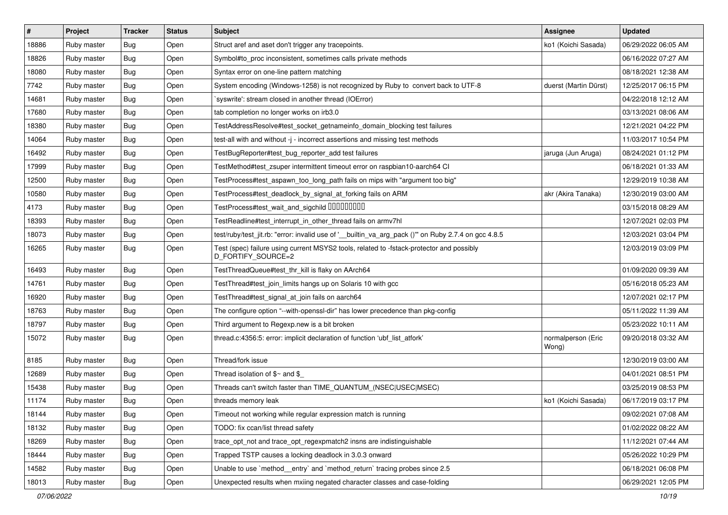| #     | Project     | <b>Tracker</b> | <b>Status</b> | <b>Subject</b>                                                                                                 | <b>Assignee</b>             | <b>Updated</b>      |
|-------|-------------|----------------|---------------|----------------------------------------------------------------------------------------------------------------|-----------------------------|---------------------|
| 18886 | Ruby master | Bug            | Open          | Struct aref and aset don't trigger any tracepoints.                                                            | ko1 (Koichi Sasada)         | 06/29/2022 06:05 AM |
| 18826 | Ruby master | Bug            | Open          | Symbol#to proc inconsistent, sometimes calls private methods                                                   |                             | 06/16/2022 07:27 AM |
| 18080 | Ruby master | Bug            | Open          | Syntax error on one-line pattern matching                                                                      |                             | 08/18/2021 12:38 AM |
| 7742  | Ruby master | Bug            | Open          | System encoding (Windows-1258) is not recognized by Ruby to convert back to UTF-8                              | duerst (Martin Dürst)       | 12/25/2017 06:15 PM |
| 14681 | Ruby master | Bug            | Open          | `syswrite': stream closed in another thread (IOError)                                                          |                             | 04/22/2018 12:12 AM |
| 17680 | Ruby master | <b>Bug</b>     | Open          | tab completion no longer works on irb3.0                                                                       |                             | 03/13/2021 08:06 AM |
| 18380 | Ruby master | Bug            | Open          | TestAddressResolve#test_socket_getnameinfo_domain_blocking test failures                                       |                             | 12/21/2021 04:22 PM |
| 14064 | Ruby master | Bug            | Open          | test-all with and without -j - incorrect assertions and missing test methods                                   |                             | 11/03/2017 10:54 PM |
| 16492 | Ruby master | <b>Bug</b>     | Open          | TestBugReporter#test_bug_reporter_add test failures                                                            | jaruga (Jun Aruga)          | 08/24/2021 01:12 PM |
| 17999 | Ruby master | <b>Bug</b>     | Open          | TestMethod#test_zsuper intermittent timeout error on raspbian10-aarch64 CI                                     |                             | 06/18/2021 01:33 AM |
| 12500 | Ruby master | Bug            | Open          | TestProcess#test_aspawn_too_long_path fails on mips with "argument too big"                                    |                             | 12/29/2019 10:38 AM |
| 10580 | Ruby master | Bug            | Open          | TestProcess#test_deadlock_by_signal_at_forking fails on ARM                                                    | akr (Akira Tanaka)          | 12/30/2019 03:00 AM |
| 4173  | Ruby master | Bug            | Open          | TestProcess#test wait and sigchild DDDDDDDD                                                                    |                             | 03/15/2018 08:29 AM |
| 18393 | Ruby master | Bug            | Open          | TestReadline#test_interrupt_in_other_thread fails on armv7hl                                                   |                             | 12/07/2021 02:03 PM |
| 18073 | Ruby master | Bug            | Open          | test/ruby/test_jit.rb: "error: invalid use of '__builtin_va_arg_pack ()" on Ruby 2.7.4 on gcc 4.8.5            |                             | 12/03/2021 03:04 PM |
| 16265 | Ruby master | Bug            | Open          | Test (spec) failure using current MSYS2 tools, related to -fstack-protector and possibly<br>D_FORTIFY_SOURCE=2 |                             | 12/03/2019 03:09 PM |
| 16493 | Ruby master | Bug            | Open          | TestThreadQueue#test thr kill is flaky on AArch64                                                              |                             | 01/09/2020 09:39 AM |
| 14761 | Ruby master | Bug            | Open          | TestThread#test join limits hangs up on Solaris 10 with gcc                                                    |                             | 05/16/2018 05:23 AM |
| 16920 | Ruby master | <b>Bug</b>     | Open          | TestThread#test_signal_at_join fails on aarch64                                                                |                             | 12/07/2021 02:17 PM |
| 18763 | Ruby master | Bug            | Open          | The configure option "--with-openssl-dir" has lower precedence than pkg-config                                 |                             | 05/11/2022 11:39 AM |
| 18797 | Ruby master | <b>Bug</b>     | Open          | Third argument to Regexp.new is a bit broken                                                                   |                             | 05/23/2022 10:11 AM |
| 15072 | Ruby master | Bug            | Open          | thread.c:4356:5: error: implicit declaration of function 'ubf_list_atfork'                                     | normalperson (Eric<br>Wong) | 09/20/2018 03:32 AM |
| 8185  | Ruby master | Bug            | Open          | Thread/fork issue                                                                                              |                             | 12/30/2019 03:00 AM |
| 12689 | Ruby master | Bug            | Open          | Thread isolation of $$~$ and \$                                                                                |                             | 04/01/2021 08:51 PM |
| 15438 | Ruby master | Bug            | Open          | Threads can't switch faster than TIME_QUANTUM_(NSEC USEC MSEC)                                                 |                             | 03/25/2019 08:53 PM |
| 11174 | Ruby master | <b>Bug</b>     | Open          | threads memory leak                                                                                            | ko1 (Koichi Sasada)         | 06/17/2019 03:17 PM |
| 18144 | Ruby master | <b>Bug</b>     | Open          | Timeout not working while regular expression match is running                                                  |                             | 09/02/2021 07:08 AM |
| 18132 | Ruby master | <b>Bug</b>     | Open          | TODO: fix ccan/list thread safety                                                                              |                             | 01/02/2022 08:22 AM |
| 18269 | Ruby master | <b>Bug</b>     | Open          | trace_opt_not and trace_opt_regexpmatch2 insns are indistinguishable                                           |                             | 11/12/2021 07:44 AM |
| 18444 | Ruby master | <b>Bug</b>     | Open          | Trapped TSTP causes a locking deadlock in 3.0.3 onward                                                         |                             | 05/26/2022 10:29 PM |
| 14582 | Ruby master | <b>Bug</b>     | Open          | Unable to use `method_entry` and `method_return` tracing probes since 2.5                                      |                             | 06/18/2021 06:08 PM |
| 18013 | Ruby master | <b>Bug</b>     | Open          | Unexpected results when mxiing negated character classes and case-folding                                      |                             | 06/29/2021 12:05 PM |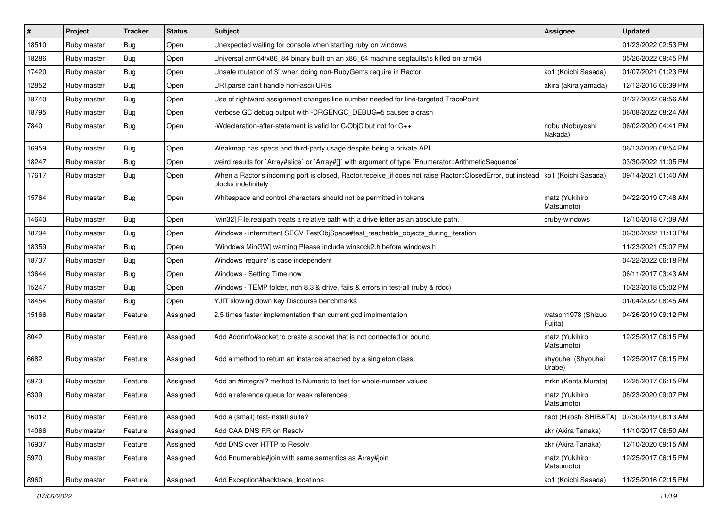| $\vert$ # | Project     | <b>Tracker</b> | <b>Status</b> | <b>Subject</b>                                                                                                                                          | Assignee                                     | <b>Updated</b>      |
|-----------|-------------|----------------|---------------|---------------------------------------------------------------------------------------------------------------------------------------------------------|----------------------------------------------|---------------------|
| 18510     | Ruby master | <b>Bug</b>     | Open          | Unexpected waiting for console when starting ruby on windows                                                                                            |                                              | 01/23/2022 02:53 PM |
| 18286     | Ruby master | <b>Bug</b>     | Open          | Universal arm64/x86_84 binary built on an x86_64 machine segfaults/is killed on arm64                                                                   |                                              | 05/26/2022 09:45 PM |
| 17420     | Ruby master | Bug            | Open          | Unsafe mutation of \$" when doing non-RubyGems require in Ractor                                                                                        | ko1 (Koichi Sasada)                          | 01/07/2021 01:23 PM |
| 12852     | Ruby master | <b>Bug</b>     | Open          | URI.parse can't handle non-ascii URIs                                                                                                                   | akira (akira yamada)                         | 12/12/2016 06:39 PM |
| 18740     | Ruby master | <b>Bug</b>     | Open          | Use of rightward assignment changes line number needed for line-targeted TracePoint                                                                     |                                              | 04/27/2022 09:56 AM |
| 18795     | Ruby master | <b>Bug</b>     | Open          | Verbose GC debug output with -DRGENGC_DEBUG=5 causes a crash                                                                                            |                                              | 06/08/2022 08:24 AM |
| 7840      | Ruby master | Bug            | Open          | -Wdeclaration-after-statement is valid for C/ObjC but not for C++                                                                                       | nobu (Nobuyoshi<br>Nakada)                   | 06/02/2020 04:41 PM |
| 16959     | Ruby master | Bug            | Open          | Weakmap has specs and third-party usage despite being a private API                                                                                     |                                              | 06/13/2020 08:54 PM |
| 18247     | Ruby master | Bug            | Open          | weird results for `Array#slice` or `Array#[]` with argument of type `Enumerator::ArithmeticSequence`                                                    |                                              | 03/30/2022 11:05 PM |
| 17617     | Ruby master | Bug            | Open          | When a Ractor's incoming port is closed, Ractor.receive_if does not raise Ractor::ClosedError, but instead   ko1 (Koichi Sasada)<br>blocks indefinitely |                                              | 09/14/2021 01:40 AM |
| 15764     | Ruby master | Bug            | Open          | Whitespace and control characters should not be permitted in tokens                                                                                     | matz (Yukihiro<br>Matsumoto)                 | 04/22/2019 07:48 AM |
| 14640     | Ruby master | Bug            | Open          | [win32] File.realpath treats a relative path with a drive letter as an absolute path.                                                                   | cruby-windows                                | 12/10/2018 07:09 AM |
| 18794     | Ruby master | <b>Bug</b>     | Open          | Windows - intermittent SEGV TestObjSpace#test_reachable_objects_during_iteration                                                                        |                                              | 06/30/2022 11:13 PM |
| 18359     | Ruby master | <b>Bug</b>     | Open          | [Windows MinGW] warning Please include winsock2.h before windows.h                                                                                      |                                              | 11/23/2021 05:07 PM |
| 18737     | Ruby master | <b>Bug</b>     | Open          | Windows 'require' is case independent                                                                                                                   |                                              | 04/22/2022 06:18 PM |
| 13644     | Ruby master | <b>Bug</b>     | Open          | Windows - Setting Time.now                                                                                                                              |                                              | 06/11/2017 03:43 AM |
| 15247     | Ruby master | <b>Bug</b>     | Open          | Windows - TEMP folder, non 8.3 & drive, fails & errors in test-all (ruby & rdoc)                                                                        |                                              | 10/23/2018 05:02 PM |
| 18454     | Ruby master | Bug            | Open          | YJIT slowing down key Discourse benchmarks                                                                                                              |                                              | 01/04/2022 08:45 AM |
| 15166     | Ruby master | Feature        | Assigned      | 2.5 times faster implementation than current gcd implmentation                                                                                          | watson1978 (Shizuo<br>Fujita)                | 04/26/2019 09:12 PM |
| 8042      | Ruby master | Feature        | Assigned      | Add Addrinfo#socket to create a socket that is not connected or bound                                                                                   | matz (Yukihiro<br>Matsumoto)                 | 12/25/2017 06:15 PM |
| 6682      | Ruby master | Feature        | Assigned      | Add a method to return an instance attached by a singleton class                                                                                        | shyouhei (Shyouhei<br>Urabe)                 | 12/25/2017 06:15 PM |
| 6973      | Ruby master | Feature        | Assigned      | Add an #integral? method to Numeric to test for whole-number values                                                                                     | mrkn (Kenta Murata)                          | 12/25/2017 06:15 PM |
| 6309      | Ruby master | Feature        | Assigned      | Add a reference queue for weak references                                                                                                               | matz (Yukihiro<br>Matsumoto)                 | 08/23/2020 09:07 PM |
| 16012     | Ruby master | Feature        | Assigned      | Add a (small) test-install suite?                                                                                                                       | hsbt (Hiroshi SHIBATA)   07/30/2019 08:13 AM |                     |
| 14066     | Ruby master | Feature        | Assigned      | Add CAA DNS RR on Resolv                                                                                                                                | akr (Akira Tanaka)                           | 11/10/2017 06:50 AM |
| 16937     | Ruby master | Feature        | Assigned      | Add DNS over HTTP to Resolv                                                                                                                             | akr (Akira Tanaka)                           | 12/10/2020 09:15 AM |
| 5970      | Ruby master | Feature        | Assigned      | Add Enumerable#join with same semantics as Array#join                                                                                                   | matz (Yukihiro<br>Matsumoto)                 | 12/25/2017 06:15 PM |
| 8960      | Ruby master | Feature        | Assigned      | Add Exception#backtrace_locations                                                                                                                       | ko1 (Koichi Sasada)                          | 11/25/2016 02:15 PM |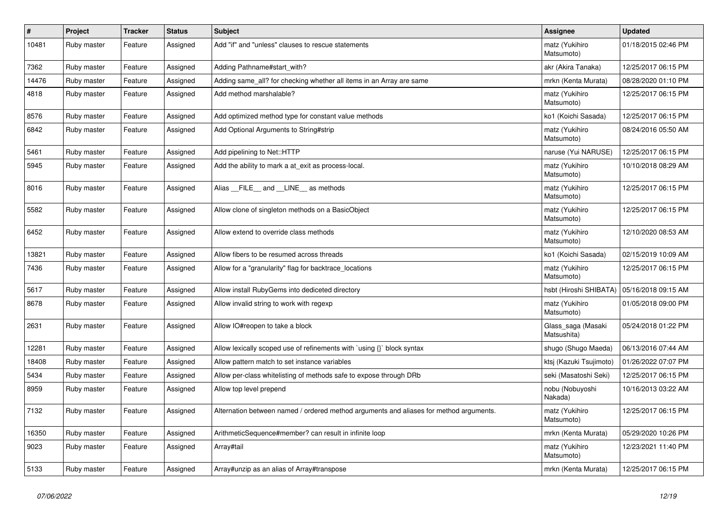| $\vert$ # | <b>Project</b> | <b>Tracker</b> | <b>Status</b> | <b>Subject</b>                                                                         | Assignee                          | <b>Updated</b>      |
|-----------|----------------|----------------|---------------|----------------------------------------------------------------------------------------|-----------------------------------|---------------------|
| 10481     | Ruby master    | Feature        | Assigned      | Add "if" and "unless" clauses to rescue statements                                     | matz (Yukihiro<br>Matsumoto)      | 01/18/2015 02:46 PM |
| 7362      | Ruby master    | Feature        | Assigned      | Adding Pathname#start with?                                                            | akr (Akira Tanaka)                | 12/25/2017 06:15 PM |
| 14476     | Ruby master    | Feature        | Assigned      | Adding same_all? for checking whether all items in an Array are same                   | mrkn (Kenta Murata)               | 08/28/2020 01:10 PM |
| 4818      | Ruby master    | Feature        | Assigned      | Add method marshalable?                                                                | matz (Yukihiro<br>Matsumoto)      | 12/25/2017 06:15 PM |
| 8576      | Ruby master    | Feature        | Assigned      | Add optimized method type for constant value methods                                   | ko1 (Koichi Sasada)               | 12/25/2017 06:15 PM |
| 6842      | Ruby master    | Feature        | Assigned      | Add Optional Arguments to String#strip                                                 | matz (Yukihiro<br>Matsumoto)      | 08/24/2016 05:50 AM |
| 5461      | Ruby master    | Feature        | Assigned      | Add pipelining to Net::HTTP                                                            | naruse (Yui NARUSE)               | 12/25/2017 06:15 PM |
| 5945      | Ruby master    | Feature        | Assigned      | Add the ability to mark a at exit as process-local.                                    | matz (Yukihiro<br>Matsumoto)      | 10/10/2018 08:29 AM |
| 8016      | Ruby master    | Feature        | Assigned      | Alias __FILE__ and __LINE__ as methods                                                 | matz (Yukihiro<br>Matsumoto)      | 12/25/2017 06:15 PM |
| 5582      | Ruby master    | Feature        | Assigned      | Allow clone of singleton methods on a BasicObject                                      | matz (Yukihiro<br>Matsumoto)      | 12/25/2017 06:15 PM |
| 6452      | Ruby master    | Feature        | Assigned      | Allow extend to override class methods                                                 | matz (Yukihiro<br>Matsumoto)      | 12/10/2020 08:53 AM |
| 13821     | Ruby master    | Feature        | Assigned      | Allow fibers to be resumed across threads                                              | ko1 (Koichi Sasada)               | 02/15/2019 10:09 AM |
| 7436      | Ruby master    | Feature        | Assigned      | Allow for a "granularity" flag for backtrace_locations                                 | matz (Yukihiro<br>Matsumoto)      | 12/25/2017 06:15 PM |
| 5617      | Ruby master    | Feature        | Assigned      | Allow install RubyGems into dediceted directory                                        | hsbt (Hiroshi SHIBATA)            | 05/16/2018 09:15 AM |
| 8678      | Ruby master    | Feature        | Assigned      | Allow invalid string to work with regexp                                               | matz (Yukihiro<br>Matsumoto)      | 01/05/2018 09:00 PM |
| 2631      | Ruby master    | Feature        | Assigned      | Allow IO#reopen to take a block                                                        | Glass saga (Masaki<br>Matsushita) | 05/24/2018 01:22 PM |
| 12281     | Ruby master    | Feature        | Assigned      | Allow lexically scoped use of refinements with `using {}` block syntax                 | shugo (Shugo Maeda)               | 06/13/2016 07:44 AM |
| 18408     | Ruby master    | Feature        | Assigned      | Allow pattern match to set instance variables                                          | ktsį (Kazuki Tsujimoto)           | 01/26/2022 07:07 PM |
| 5434      | Ruby master    | Feature        | Assigned      | Allow per-class whitelisting of methods safe to expose through DRb                     | seki (Masatoshi Seki)             | 12/25/2017 06:15 PM |
| 8959      | Ruby master    | Feature        | Assigned      | Allow top level prepend                                                                | nobu (Nobuyoshi<br>Nakada)        | 10/16/2013 03:22 AM |
| 7132      | Ruby master    | Feature        | Assigned      | Alternation between named / ordered method arguments and aliases for method arguments. | matz (Yukihiro<br>Matsumoto)      | 12/25/2017 06:15 PM |
| 16350     | Ruby master    | Feature        | Assigned      | ArithmeticSequence#member? can result in infinite loop                                 | mrkn (Kenta Murata)               | 05/29/2020 10:26 PM |
| 9023      | Ruby master    | Feature        | Assigned      | Array#tail                                                                             | matz (Yukihiro<br>Matsumoto)      | 12/23/2021 11:40 PM |
| 5133      | Ruby master    | Feature        | Assigned      | Array#unzip as an alias of Array#transpose                                             | mrkn (Kenta Murata)               | 12/25/2017 06:15 PM |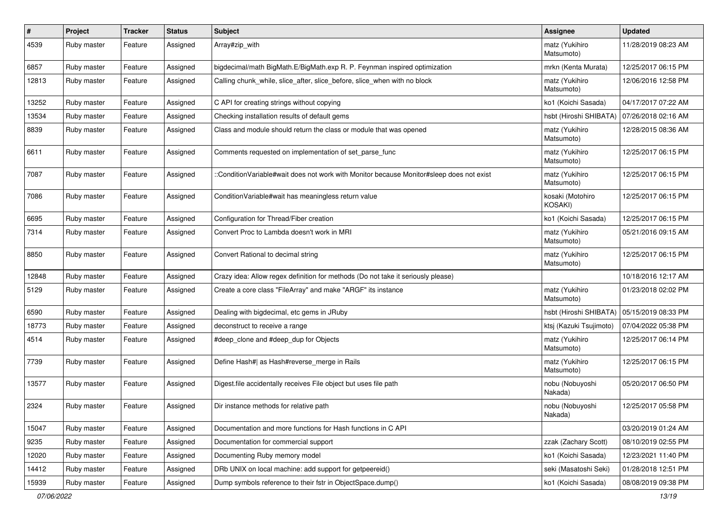| $\vert$ # | Project     | <b>Tracker</b> | <b>Status</b> | <b>Subject</b>                                                                          | Assignee                     | <b>Updated</b>      |
|-----------|-------------|----------------|---------------|-----------------------------------------------------------------------------------------|------------------------------|---------------------|
| 4539      | Ruby master | Feature        | Assigned      | Array#zip_with                                                                          | matz (Yukihiro<br>Matsumoto) | 11/28/2019 08:23 AM |
| 6857      | Ruby master | Feature        | Assigned      | bigdecimal/math BigMath.E/BigMath.exp R. P. Feynman inspired optimization               | mrkn (Kenta Murata)          | 12/25/2017 06:15 PM |
| 12813     | Ruby master | Feature        | Assigned      | Calling chunk_while, slice_after, slice_before, slice_when with no block                | matz (Yukihiro<br>Matsumoto) | 12/06/2016 12:58 PM |
| 13252     | Ruby master | Feature        | Assigned      | C API for creating strings without copying                                              | ko1 (Koichi Sasada)          | 04/17/2017 07:22 AM |
| 13534     | Ruby master | Feature        | Assigned      | Checking installation results of default gems                                           | hsbt (Hiroshi SHIBATA)       | 07/26/2018 02:16 AM |
| 8839      | Ruby master | Feature        | Assigned      | Class and module should return the class or module that was opened                      | matz (Yukihiro<br>Matsumoto) | 12/28/2015 08:36 AM |
| 6611      | Ruby master | Feature        | Assigned      | Comments requested on implementation of set_parse_func                                  | matz (Yukihiro<br>Matsumoto) | 12/25/2017 06:15 PM |
| 7087      | Ruby master | Feature        | Assigned      | :ConditionVariable#wait does not work with Monitor because Monitor#sleep does not exist | matz (Yukihiro<br>Matsumoto) | 12/25/2017 06:15 PM |
| 7086      | Ruby master | Feature        | Assigned      | Condition Variable#wait has meaningless return value                                    | kosaki (Motohiro<br>KOSAKI)  | 12/25/2017 06:15 PM |
| 6695      | Ruby master | Feature        | Assigned      | Configuration for Thread/Fiber creation                                                 | ko1 (Koichi Sasada)          | 12/25/2017 06:15 PM |
| 7314      | Ruby master | Feature        | Assigned      | Convert Proc to Lambda doesn't work in MRI                                              | matz (Yukihiro<br>Matsumoto) | 05/21/2016 09:15 AM |
| 8850      | Ruby master | Feature        | Assigned      | Convert Rational to decimal string                                                      | matz (Yukihiro<br>Matsumoto) | 12/25/2017 06:15 PM |
| 12848     | Ruby master | Feature        | Assigned      | Crazy idea: Allow regex definition for methods (Do not take it seriously please)        |                              | 10/18/2016 12:17 AM |
| 5129      | Ruby master | Feature        | Assigned      | Create a core class "FileArray" and make "ARGF" its instance                            | matz (Yukihiro<br>Matsumoto) | 01/23/2018 02:02 PM |
| 6590      | Ruby master | Feature        | Assigned      | Dealing with bigdecimal, etc gems in JRuby                                              | hsbt (Hiroshi SHIBATA)       | 05/15/2019 08:33 PM |
| 18773     | Ruby master | Feature        | Assigned      | deconstruct to receive a range                                                          | ktsj (Kazuki Tsujimoto)      | 07/04/2022 05:38 PM |
| 4514      | Ruby master | Feature        | Assigned      | #deep_clone and #deep_dup for Objects                                                   | matz (Yukihiro<br>Matsumoto) | 12/25/2017 06:14 PM |
| 7739      | Ruby master | Feature        | Assigned      | Define Hash#  as Hash#reverse_merge in Rails                                            | matz (Yukihiro<br>Matsumoto) | 12/25/2017 06:15 PM |
| 13577     | Ruby master | Feature        | Assigned      | Digest file accidentally receives File object but uses file path                        | nobu (Nobuyoshi<br>Nakada)   | 05/20/2017 06:50 PM |
| 2324      | Ruby master | Feature        | Assigned      | Dir instance methods for relative path                                                  | nobu (Nobuyoshi<br>Nakada)   | 12/25/2017 05:58 PM |
| 15047     | Ruby master | Feature        | Assigned      | Documentation and more functions for Hash functions in C API                            |                              | 03/20/2019 01:24 AM |
| 9235      | Ruby master | Feature        | Assigned      | Documentation for commercial support                                                    | zzak (Zachary Scott)         | 08/10/2019 02:55 PM |
| 12020     | Ruby master | Feature        | Assigned      | Documenting Ruby memory model                                                           | ko1 (Koichi Sasada)          | 12/23/2021 11:40 PM |
| 14412     | Ruby master | Feature        | Assigned      | DRb UNIX on local machine: add support for getpeereid()                                 | seki (Masatoshi Seki)        | 01/28/2018 12:51 PM |
| 15939     | Ruby master | Feature        | Assigned      | Dump symbols reference to their fstr in ObjectSpace.dump()                              | ko1 (Koichi Sasada)          | 08/08/2019 09:38 PM |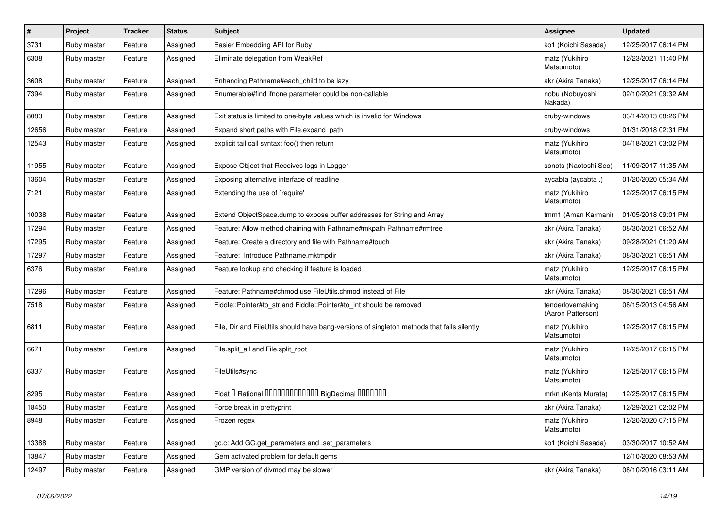| $\pmb{\#}$ | Project     | <b>Tracker</b> | <b>Status</b> | <b>Subject</b>                                                                             | Assignee                              | <b>Updated</b>      |
|------------|-------------|----------------|---------------|--------------------------------------------------------------------------------------------|---------------------------------------|---------------------|
| 3731       | Ruby master | Feature        | Assigned      | Easier Embedding API for Ruby                                                              | ko1 (Koichi Sasada)                   | 12/25/2017 06:14 PM |
| 6308       | Ruby master | Feature        | Assigned      | Eliminate delegation from WeakRef                                                          | matz (Yukihiro<br>Matsumoto)          | 12/23/2021 11:40 PM |
| 3608       | Ruby master | Feature        | Assigned      | Enhancing Pathname#each_child to be lazy                                                   | akr (Akira Tanaka)                    | 12/25/2017 06:14 PM |
| 7394       | Ruby master | Feature        | Assigned      | Enumerable#find ifnone parameter could be non-callable                                     | nobu (Nobuyoshi<br>Nakada)            | 02/10/2021 09:32 AM |
| 8083       | Ruby master | Feature        | Assigned      | Exit status is limited to one-byte values which is invalid for Windows                     | cruby-windows                         | 03/14/2013 08:26 PM |
| 12656      | Ruby master | Feature        | Assigned      | Expand short paths with File.expand_path                                                   | cruby-windows                         | 01/31/2018 02:31 PM |
| 12543      | Ruby master | Feature        | Assigned      | explicit tail call syntax: foo() then return                                               | matz (Yukihiro<br>Matsumoto)          | 04/18/2021 03:02 PM |
| 11955      | Ruby master | Feature        | Assigned      | Expose Object that Receives logs in Logger                                                 | sonots (Naotoshi Seo)                 | 11/09/2017 11:35 AM |
| 13604      | Ruby master | Feature        | Assigned      | Exposing alternative interface of readline                                                 | aycabta (aycabta .)                   | 01/20/2020 05:34 AM |
| 7121       | Ruby master | Feature        | Assigned      | Extending the use of `require'                                                             | matz (Yukihiro<br>Matsumoto)          | 12/25/2017 06:15 PM |
| 10038      | Ruby master | Feature        | Assigned      | Extend ObjectSpace.dump to expose buffer addresses for String and Array                    | tmm1 (Aman Karmani)                   | 01/05/2018 09:01 PM |
| 17294      | Ruby master | Feature        | Assigned      | Feature: Allow method chaining with Pathname#mkpath Pathname#rmtree                        | akr (Akira Tanaka)                    | 08/30/2021 06:52 AM |
| 17295      | Ruby master | Feature        | Assigned      | Feature: Create a directory and file with Pathname#touch                                   | akr (Akira Tanaka)                    | 09/28/2021 01:20 AM |
| 17297      | Ruby master | Feature        | Assigned      | Feature: Introduce Pathname.mktmpdir                                                       | akr (Akira Tanaka)                    | 08/30/2021 06:51 AM |
| 6376       | Ruby master | Feature        | Assigned      | Feature lookup and checking if feature is loaded                                           | matz (Yukihiro<br>Matsumoto)          | 12/25/2017 06:15 PM |
| 17296      | Ruby master | Feature        | Assigned      | Feature: Pathname#chmod use FileUtils.chmod instead of File                                | akr (Akira Tanaka)                    | 08/30/2021 06:51 AM |
| 7518       | Ruby master | Feature        | Assigned      | Fiddle::Pointer#to str and Fiddle::Pointer#to int should be removed                        | tenderlovemaking<br>(Aaron Patterson) | 08/15/2013 04:56 AM |
| 6811       | Ruby master | Feature        | Assigned      | File, Dir and FileUtils should have bang-versions of singleton methods that fails silently | matz (Yukihiro<br>Matsumoto)          | 12/25/2017 06:15 PM |
| 6671       | Ruby master | Feature        | Assigned      | File.split all and File.split root                                                         | matz (Yukihiro<br>Matsumoto)          | 12/25/2017 06:15 PM |
| 6337       | Ruby master | Feature        | Assigned      | FileUtils#sync                                                                             | matz (Yukihiro<br>Matsumoto)          | 12/25/2017 06:15 PM |
| 8295       | Ruby master | Feature        | Assigned      | Float I Rational 0000000000000 BigDecimal 0000000                                          | mrkn (Kenta Murata)                   | 12/25/2017 06:15 PM |
| 18450      | Ruby master | Feature        | Assigned      | Force break in prettyprint                                                                 | akr (Akira Tanaka)                    | 12/29/2021 02:02 PM |
| 8948       | Ruby master | Feature        | Assigned      | Frozen regex                                                                               | matz (Yukihiro<br>Matsumoto)          | 12/20/2020 07:15 PM |
| 13388      | Ruby master | Feature        | Assigned      | gc.c: Add GC.get parameters and set parameters                                             | ko1 (Koichi Sasada)                   | 03/30/2017 10:52 AM |
| 13847      | Ruby master | Feature        | Assigned      | Gem activated problem for default gems                                                     |                                       | 12/10/2020 08:53 AM |
| 12497      | Ruby master | Feature        | Assigned      | GMP version of divmod may be slower                                                        | akr (Akira Tanaka)                    | 08/10/2016 03:11 AM |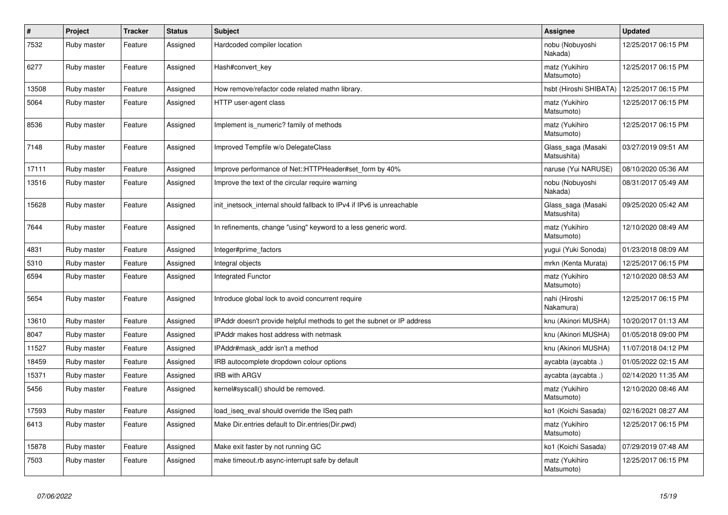| $\vert$ # | Project     | <b>Tracker</b> | <b>Status</b> | <b>Subject</b>                                                         | Assignee                          | <b>Updated</b>      |
|-----------|-------------|----------------|---------------|------------------------------------------------------------------------|-----------------------------------|---------------------|
| 7532      | Ruby master | Feature        | Assigned      | Hardcoded compiler location                                            | nobu (Nobuyoshi<br>Nakada)        | 12/25/2017 06:15 PM |
| 6277      | Ruby master | Feature        | Assigned      | Hash#convert_key                                                       | matz (Yukihiro<br>Matsumoto)      | 12/25/2017 06:15 PM |
| 13508     | Ruby master | Feature        | Assigned      | How remove/refactor code related mathn library.                        | hsbt (Hiroshi SHIBATA)            | 12/25/2017 06:15 PM |
| 5064      | Ruby master | Feature        | Assigned      | HTTP user-agent class                                                  | matz (Yukihiro<br>Matsumoto)      | 12/25/2017 06:15 PM |
| 8536      | Ruby master | Feature        | Assigned      | Implement is numeric? family of methods                                | matz (Yukihiro<br>Matsumoto)      | 12/25/2017 06:15 PM |
| 7148      | Ruby master | Feature        | Assigned      | Improved Tempfile w/o DelegateClass                                    | Glass saga (Masaki<br>Matsushita) | 03/27/2019 09:51 AM |
| 17111     | Ruby master | Feature        | Assigned      | Improve performance of Net::HTTPHeader#set form by 40%                 | naruse (Yui NARUSE)               | 08/10/2020 05:36 AM |
| 13516     | Ruby master | Feature        | Assigned      | Improve the text of the circular require warning                       | nobu (Nobuyoshi<br>Nakada)        | 08/31/2017 05:49 AM |
| 15628     | Ruby master | Feature        | Assigned      | init_inetsock_internal should fallback to IPv4 if IPv6 is unreachable  | Glass_saga (Masaki<br>Matsushita) | 09/25/2020 05:42 AM |
| 7644      | Ruby master | Feature        | Assigned      | In refinements, change "using" keyword to a less generic word.         | matz (Yukihiro<br>Matsumoto)      | 12/10/2020 08:49 AM |
| 4831      | Ruby master | Feature        | Assigned      | Integer#prime_factors                                                  | yugui (Yuki Sonoda)               | 01/23/2018 08:09 AM |
| 5310      | Ruby master | Feature        | Assigned      | Integral objects                                                       | mrkn (Kenta Murata)               | 12/25/2017 06:15 PM |
| 6594      | Ruby master | Feature        | Assigned      | <b>Integrated Functor</b>                                              | matz (Yukihiro<br>Matsumoto)      | 12/10/2020 08:53 AM |
| 5654      | Ruby master | Feature        | Assigned      | Introduce global lock to avoid concurrent require                      | nahi (Hiroshi<br>Nakamura)        | 12/25/2017 06:15 PM |
| 13610     | Ruby master | Feature        | Assigned      | IPAddr doesn't provide helpful methods to get the subnet or IP address | knu (Akinori MUSHA)               | 10/20/2017 01:13 AM |
| 8047      | Ruby master | Feature        | Assigned      | IPAddr makes host address with netmask                                 | knu (Akinori MUSHA)               | 01/05/2018 09:00 PM |
| 11527     | Ruby master | Feature        | Assigned      | IPAddr#mask addr isn't a method                                        | knu (Akinori MUSHA)               | 11/07/2018 04:12 PM |
| 18459     | Ruby master | Feature        | Assigned      | IRB autocomplete dropdown colour options                               | aycabta (aycabta.)                | 01/05/2022 02:15 AM |
| 15371     | Ruby master | Feature        | Assigned      | <b>IRB with ARGV</b>                                                   | aycabta (aycabta .)               | 02/14/2020 11:35 AM |
| 5456      | Ruby master | Feature        | Assigned      | kernel#syscall() should be removed.                                    | matz (Yukihiro<br>Matsumoto)      | 12/10/2020 08:46 AM |
| 17593     | Ruby master | Feature        | Assigned      | load_iseq_eval should override the ISeq path                           | ko1 (Koichi Sasada)               | 02/16/2021 08:27 AM |
| 6413      | Ruby master | Feature        | Assigned      | Make Dir.entries default to Dir.entries(Dir.pwd)                       | matz (Yukihiro<br>Matsumoto)      | 12/25/2017 06:15 PM |
| 15878     | Ruby master | Feature        | Assigned      | Make exit faster by not running GC                                     | ko1 (Koichi Sasada)               | 07/29/2019 07:48 AM |
| 7503      | Ruby master | Feature        | Assigned      | make timeout.rb async-interrupt safe by default                        | matz (Yukihiro<br>Matsumoto)      | 12/25/2017 06:15 PM |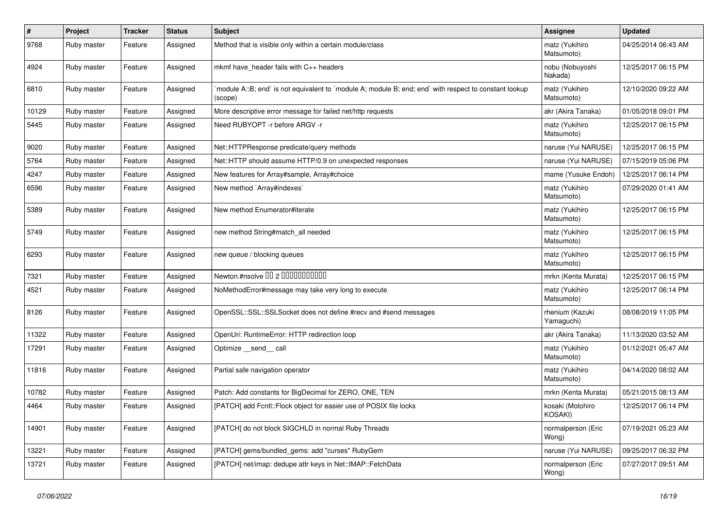| #     | Project     | <b>Tracker</b> | <b>Status</b> | Subject                                                                                                           | Assignee                      | <b>Updated</b>      |
|-------|-------------|----------------|---------------|-------------------------------------------------------------------------------------------------------------------|-------------------------------|---------------------|
| 9768  | Ruby master | Feature        | Assigned      | Method that is visible only within a certain module/class                                                         | matz (Yukihiro<br>Matsumoto)  | 04/25/2014 06:43 AM |
| 4924  | Ruby master | Feature        | Assigned      | mkmf have header fails with C++ headers                                                                           | nobu (Nobuyoshi<br>Nakada)    | 12/25/2017 06:15 PM |
| 6810  | Ruby master | Feature        | Assigned      | module A::B; end` is not equivalent to `module A; module B; end; end` with respect to constant lookup`<br>(scope) | matz (Yukihiro<br>Matsumoto)  | 12/10/2020 09:22 AM |
| 10129 | Ruby master | Feature        | Assigned      | More descriptive error message for failed net/http requests                                                       | akr (Akira Tanaka)            | 01/05/2018 09:01 PM |
| 5445  | Ruby master | Feature        | Assigned      | Need RUBYOPT - r before ARGV - r                                                                                  | matz (Yukihiro<br>Matsumoto)  | 12/25/2017 06:15 PM |
| 9020  | Ruby master | Feature        | Assigned      | Net::HTTPResponse predicate/query methods                                                                         | naruse (Yui NARUSE)           | 12/25/2017 06:15 PM |
| 5764  | Ruby master | Feature        | Assigned      | Net::HTTP should assume HTTP/0.9 on unexpected responses                                                          | naruse (Yui NARUSE)           | 07/15/2019 05:06 PM |
| 4247  | Ruby master | Feature        | Assigned      | New features for Array#sample, Array#choice                                                                       | mame (Yusuke Endoh)           | 12/25/2017 06:14 PM |
| 6596  | Ruby master | Feature        | Assigned      | New method `Array#indexes`                                                                                        | matz (Yukihiro<br>Matsumoto)  | 07/29/2020 01:41 AM |
| 5389  | Ruby master | Feature        | Assigned      | New method Enumerator#iterate                                                                                     | matz (Yukihiro<br>Matsumoto)  | 12/25/2017 06:15 PM |
| 5749  | Ruby master | Feature        | Assigned      | new method String#match_all needed                                                                                | matz (Yukihiro<br>Matsumoto)  | 12/25/2017 06:15 PM |
| 6293  | Ruby master | Feature        | Assigned      | new queue / blocking queues                                                                                       | matz (Yukihiro<br>Matsumoto)  | 12/25/2017 06:15 PM |
| 7321  | Ruby master | Feature        | Assigned      | Newton.#nsolve 00 2 0000000000                                                                                    | mrkn (Kenta Murata)           | 12/25/2017 06:15 PM |
| 4521  | Ruby master | Feature        | Assigned      | NoMethodError#message may take very long to execute                                                               | matz (Yukihiro<br>Matsumoto)  | 12/25/2017 06:14 PM |
| 8126  | Ruby master | Feature        | Assigned      | OpenSSL::SSL::SSLSocket does not define #recv and #send messages                                                  | rhenium (Kazuki<br>Yamaguchi) | 08/08/2019 11:05 PM |
| 11322 | Ruby master | Feature        | Assigned      | OpenUri: RuntimeError: HTTP redirection loop                                                                      | akr (Akira Tanaka)            | 11/13/2020 03:52 AM |
| 17291 | Ruby master | Feature        | Assigned      | Optimize send call                                                                                                | matz (Yukihiro<br>Matsumoto)  | 01/12/2021 05:47 AM |
| 11816 | Ruby master | Feature        | Assigned      | Partial safe navigation operator                                                                                  | matz (Yukihiro<br>Matsumoto)  | 04/14/2020 08:02 AM |
| 10782 | Ruby master | Feature        | Assigned      | Patch: Add constants for BigDecimal for ZERO, ONE, TEN                                                            | mrkn (Kenta Murata)           | 05/21/2015 08:13 AM |
| 4464  | Ruby master | Feature        | Assigned      | [PATCH] add Fcntl::Flock object for easier use of POSIX file locks                                                | kosaki (Motohiro<br>KOSAKI)   | 12/25/2017 06:14 PM |
| 14901 | Ruby master | Feature        | Assigned      | [PATCH] do not block SIGCHLD in normal Ruby Threads                                                               | normalperson (Eric<br>Wong)   | 07/19/2021 05:23 AM |
| 13221 | Ruby master | Feature        | Assigned      | [PATCH] gems/bundled_gems: add "curses" RubyGem                                                                   | naruse (Yui NARUSE)           | 09/25/2017 06:32 PM |
| 13721 | Ruby master | Feature        | Assigned      | [PATCH] net/imap: dedupe attr keys in Net::IMAP::FetchData                                                        | normalperson (Eric<br>Wong)   | 07/27/2017 09:51 AM |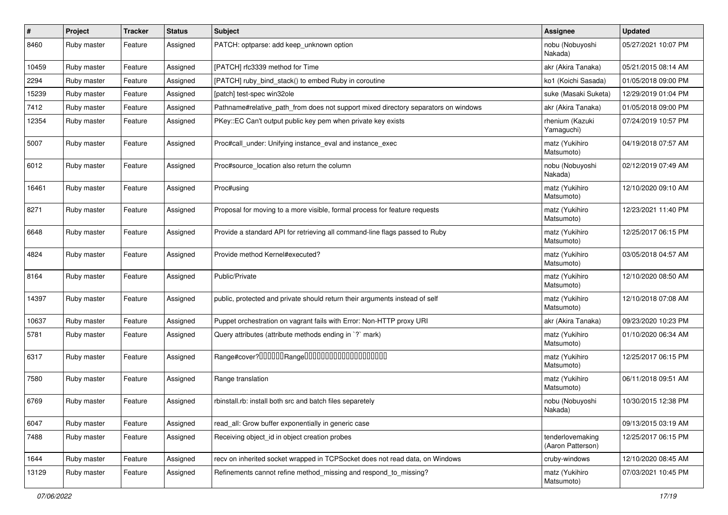| $\sharp$ | Project     | <b>Tracker</b> | <b>Status</b> | Subject                                                                            | Assignee                              | <b>Updated</b>      |
|----------|-------------|----------------|---------------|------------------------------------------------------------------------------------|---------------------------------------|---------------------|
| 8460     | Ruby master | Feature        | Assigned      | PATCH: optparse: add keep_unknown option                                           | nobu (Nobuyoshi<br>Nakada)            | 05/27/2021 10:07 PM |
| 10459    | Ruby master | Feature        | Assigned      | [PATCH] rfc3339 method for Time                                                    | akr (Akira Tanaka)                    | 05/21/2015 08:14 AM |
| 2294     | Ruby master | Feature        | Assigned      | [PATCH] ruby_bind_stack() to embed Ruby in coroutine                               | ko1 (Koichi Sasada)                   | 01/05/2018 09:00 PM |
| 15239    | Ruby master | Feature        | Assigned      | [patch] test-spec win32ole                                                         | suke (Masaki Suketa)                  | 12/29/2019 01:04 PM |
| 7412     | Ruby master | Feature        | Assigned      | Pathname#relative_path_from does not support mixed directory separators on windows | akr (Akira Tanaka)                    | 01/05/2018 09:00 PM |
| 12354    | Ruby master | Feature        | Assigned      | PKey::EC Can't output public key pem when private key exists                       | rhenium (Kazuki<br>Yamaguchi)         | 07/24/2019 10:57 PM |
| 5007     | Ruby master | Feature        | Assigned      | Proc#call_under: Unifying instance_eval and instance_exec                          | matz (Yukihiro<br>Matsumoto)          | 04/19/2018 07:57 AM |
| 6012     | Ruby master | Feature        | Assigned      | Proc#source location also return the column                                        | nobu (Nobuyoshi<br>Nakada)            | 02/12/2019 07:49 AM |
| 16461    | Ruby master | Feature        | Assigned      | Proc#using                                                                         | matz (Yukihiro<br>Matsumoto)          | 12/10/2020 09:10 AM |
| 8271     | Ruby master | Feature        | Assigned      | Proposal for moving to a more visible, formal process for feature requests         | matz (Yukihiro<br>Matsumoto)          | 12/23/2021 11:40 PM |
| 6648     | Ruby master | Feature        | Assigned      | Provide a standard API for retrieving all command-line flags passed to Ruby        | matz (Yukihiro<br>Matsumoto)          | 12/25/2017 06:15 PM |
| 4824     | Ruby master | Feature        | Assigned      | Provide method Kernel#executed?                                                    | matz (Yukihiro<br>Matsumoto)          | 03/05/2018 04:57 AM |
| 8164     | Ruby master | Feature        | Assigned      | Public/Private                                                                     | matz (Yukihiro<br>Matsumoto)          | 12/10/2020 08:50 AM |
| 14397    | Ruby master | Feature        | Assigned      | public, protected and private should return their arguments instead of self        | matz (Yukihiro<br>Matsumoto)          | 12/10/2018 07:08 AM |
| 10637    | Ruby master | Feature        | Assigned      | Puppet orchestration on vagrant fails with Error: Non-HTTP proxy URI               | akr (Akira Tanaka)                    | 09/23/2020 10:23 PM |
| 5781     | Ruby master | Feature        | Assigned      | Query attributes (attribute methods ending in `?` mark)                            | matz (Yukihiro<br>Matsumoto)          | 01/10/2020 06:34 AM |
| 6317     | Ruby master | Feature        | Assigned      |                                                                                    | matz (Yukihiro<br>Matsumoto)          | 12/25/2017 06:15 PM |
| 7580     | Ruby master | Feature        | Assigned      | Range translation                                                                  | matz (Yukihiro<br>Matsumoto)          | 06/11/2018 09:51 AM |
| 6769     | Ruby master | Feature        | Assigned      | rbinstall.rb: install both src and batch files separetely                          | nobu (Nobuyoshi<br>Nakada)            | 10/30/2015 12:38 PM |
| 6047     | Ruby master | Feature        | Assigned      | read_all: Grow buffer exponentially in generic case                                |                                       | 09/13/2015 03:19 AM |
| 7488     | Ruby master | Feature        | Assigned      | Receiving object_id in object creation probes                                      | tenderlovemaking<br>(Aaron Patterson) | 12/25/2017 06:15 PM |
| 1644     | Ruby master | Feature        | Assigned      | recv on inherited socket wrapped in TCPSocket does not read data, on Windows       | cruby-windows                         | 12/10/2020 08:45 AM |
| 13129    | Ruby master | Feature        | Assigned      | Refinements cannot refine method_missing and respond_to_missing?                   | matz (Yukihiro<br>Matsumoto)          | 07/03/2021 10:45 PM |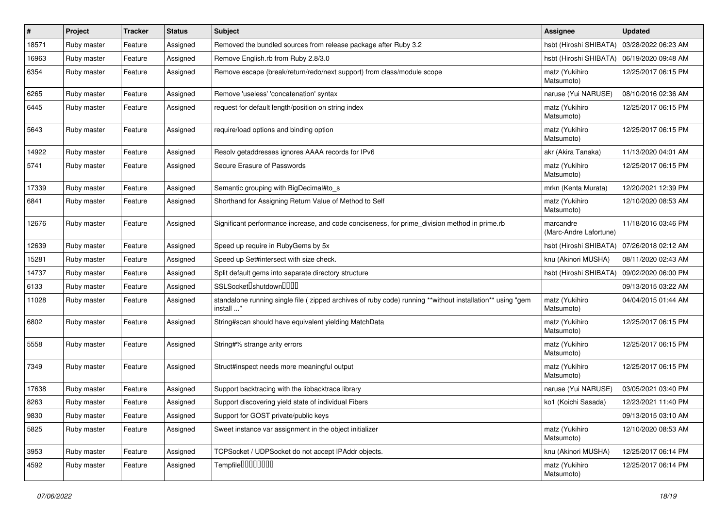| $\sharp$ | Project     | <b>Tracker</b> | <b>Status</b> | <b>Subject</b>                                                                                                          | Assignee                                     | <b>Updated</b>      |
|----------|-------------|----------------|---------------|-------------------------------------------------------------------------------------------------------------------------|----------------------------------------------|---------------------|
| 18571    | Ruby master | Feature        | Assigned      | Removed the bundled sources from release package after Ruby 3.2                                                         | hsbt (Hiroshi SHIBATA)                       | 03/28/2022 06:23 AM |
| 16963    | Ruby master | Feature        | Assigned      | Remove English.rb from Ruby 2.8/3.0                                                                                     | hsbt (Hiroshi SHIBATA)   06/19/2020 09:48 AM |                     |
| 6354     | Ruby master | Feature        | Assigned      | Remove escape (break/return/redo/next support) from class/module scope                                                  | matz (Yukihiro<br>Matsumoto)                 | 12/25/2017 06:15 PM |
| 6265     | Ruby master | Feature        | Assigned      | Remove 'useless' 'concatenation' syntax                                                                                 | naruse (Yui NARUSE)                          | 08/10/2016 02:36 AM |
| 6445     | Ruby master | Feature        | Assigned      | request for default length/position on string index                                                                     | matz (Yukihiro<br>Matsumoto)                 | 12/25/2017 06:15 PM |
| 5643     | Ruby master | Feature        | Assigned      | require/load options and binding option                                                                                 | matz (Yukihiro<br>Matsumoto)                 | 12/25/2017 06:15 PM |
| 14922    | Ruby master | Feature        | Assigned      | Resolv getaddresses ignores AAAA records for IPv6                                                                       | akr (Akira Tanaka)                           | 11/13/2020 04:01 AM |
| 5741     | Ruby master | Feature        | Assigned      | Secure Erasure of Passwords                                                                                             | matz (Yukihiro<br>Matsumoto)                 | 12/25/2017 06:15 PM |
| 17339    | Ruby master | Feature        | Assigned      | Semantic grouping with BigDecimal#to_s                                                                                  | mrkn (Kenta Murata)                          | 12/20/2021 12:39 PM |
| 6841     | Ruby master | Feature        | Assigned      | Shorthand for Assigning Return Value of Method to Self                                                                  | matz (Yukihiro<br>Matsumoto)                 | 12/10/2020 08:53 AM |
| 12676    | Ruby master | Feature        | Assigned      | Significant performance increase, and code conciseness, for prime division method in prime.rb                           | marcandre<br>(Marc-Andre Lafortune)          | 11/18/2016 03:46 PM |
| 12639    | Ruby master | Feature        | Assigned      | Speed up require in RubyGems by 5x                                                                                      | hsbt (Hiroshi SHIBATA)                       | 07/26/2018 02:12 AM |
| 15281    | Ruby master | Feature        | Assigned      | Speed up Set#intersect with size check.                                                                                 | knu (Akinori MUSHA)                          | 08/11/2020 02:43 AM |
| 14737    | Ruby master | Feature        | Assigned      | Split default gems into separate directory structure                                                                    | hsbt (Hiroshi SHIBATA)                       | 09/02/2020 06:00 PM |
| 6133     | Ruby master | Feature        | Assigned      | SSLSocketlshutdownlllllll                                                                                               |                                              | 09/13/2015 03:22 AM |
| 11028    | Ruby master | Feature        | Assigned      | standalone running single file ( zipped archives of ruby code) running **without installation** using "gem<br>install " | matz (Yukihiro<br>Matsumoto)                 | 04/04/2015 01:44 AM |
| 6802     | Ruby master | Feature        | Assigned      | String#scan should have equivalent yielding MatchData                                                                   | matz (Yukihiro<br>Matsumoto)                 | 12/25/2017 06:15 PM |
| 5558     | Ruby master | Feature        | Assigned      | String#% strange arity errors                                                                                           | matz (Yukihiro<br>Matsumoto)                 | 12/25/2017 06:15 PM |
| 7349     | Ruby master | Feature        | Assigned      | Struct#inspect needs more meaningful output                                                                             | matz (Yukihiro<br>Matsumoto)                 | 12/25/2017 06:15 PM |
| 17638    | Ruby master | Feature        | Assigned      | Support backtracing with the libbacktrace library                                                                       | naruse (Yui NARUSE)                          | 03/05/2021 03:40 PM |
| 8263     | Ruby master | Feature        | Assigned      | Support discovering yield state of individual Fibers                                                                    | ko1 (Koichi Sasada)                          | 12/23/2021 11:40 PM |
| 9830     | Ruby master | Feature        | Assigned      | Support for GOST private/public keys                                                                                    |                                              | 09/13/2015 03:10 AM |
| 5825     | Ruby master | Feature        | Assigned      | Sweet instance var assignment in the object initializer                                                                 | matz (Yukihiro<br>Matsumoto)                 | 12/10/2020 08:53 AM |
| 3953     | Ruby master | Feature        | Assigned      | TCPSocket / UDPSocket do not accept IPAddr objects.                                                                     | knu (Akinori MUSHA)                          | 12/25/2017 06:14 PM |
| 4592     | Ruby master | Feature        | Assigned      | Tempfile0000000                                                                                                         | matz (Yukihiro<br>Matsumoto)                 | 12/25/2017 06:14 PM |